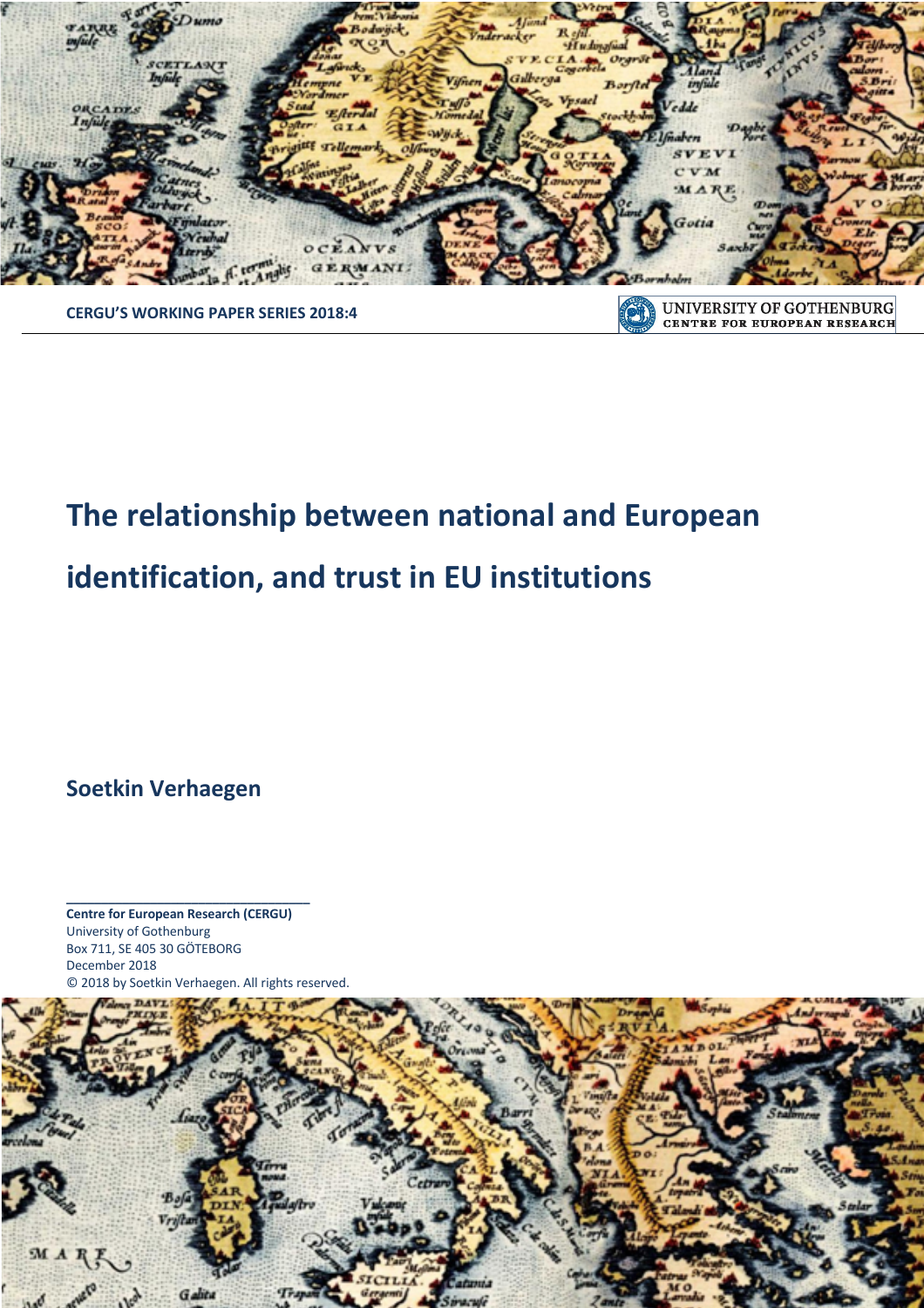

**CENTRE FOR EUROPEAN RESEARCH** 

## **CERGU'S WORKING PAPER SERIES 2018:4**

# **The relationship between national and European**

# **identification, and trust in EU institutions**

**Soetkin Verhaegen**

**Centre for European Research (CERGU)**  University of Gothenburg Box 711, SE 405 30 GÖTEBORG December 2018 © 2018 by Soetkin Verhaegen. All rights reserved.

**\_\_\_\_\_\_\_\_\_\_\_\_\_\_\_\_\_\_\_\_\_\_\_\_\_\_\_\_\_\_\_\_\_\_\_**

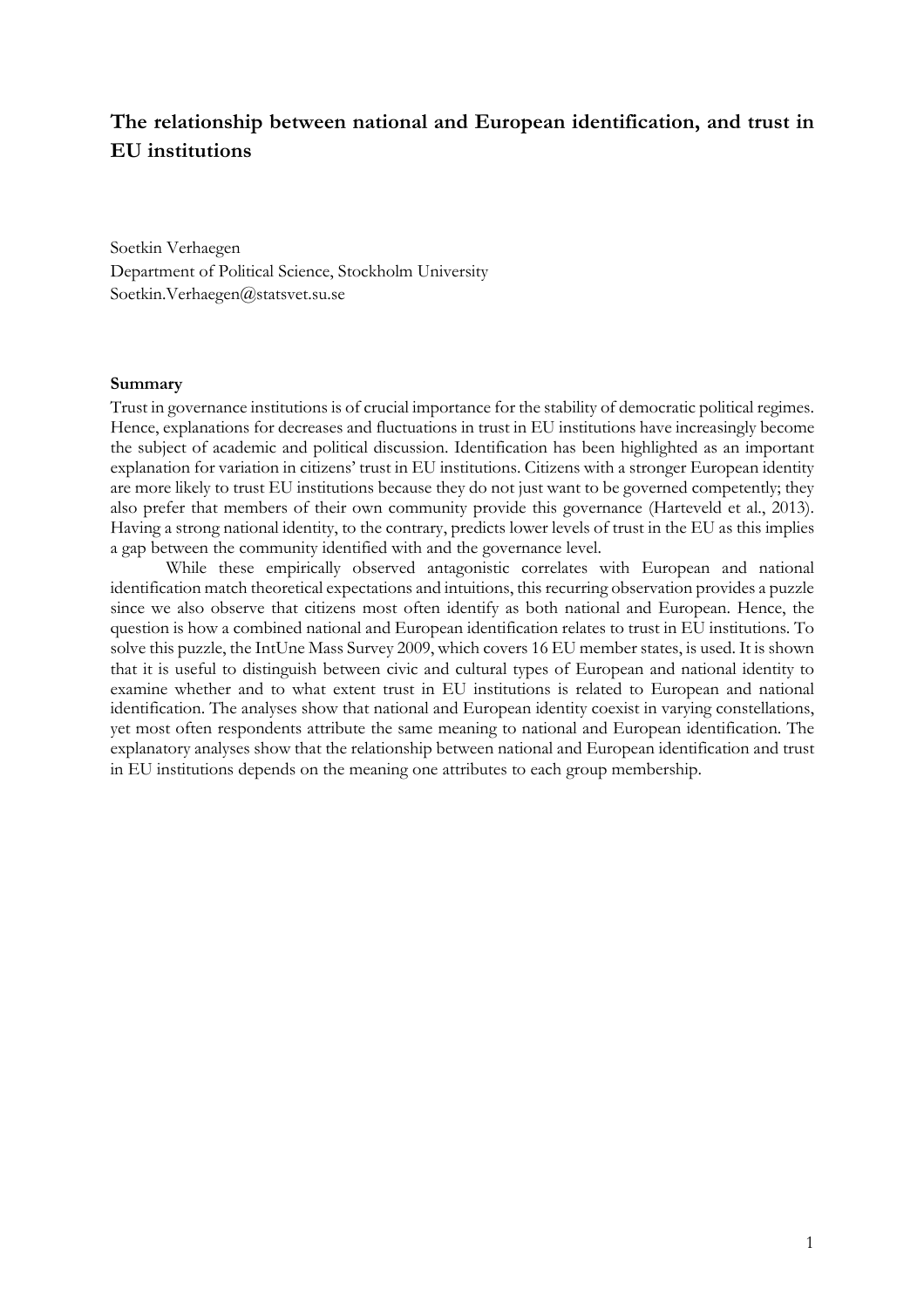### **The relationship between national and European identification, and trust in EU institutions**

Soetkin Verhaegen Department of Political Science, Stockholm University Soetkin.Verhaegen@statsvet.su.se

#### **Summary**

Trust in governance institutions is of crucial importance for the stability of democratic political regimes. Hence, explanations for decreases and fluctuations in trust in EU institutions have increasingly become the subject of academic and political discussion. Identification has been highlighted as an important explanation for variation in citizens' trust in EU institutions. Citizens with a stronger European identity are more likely to trust EU institutions because they do not just want to be governed competently; they also prefer that members of their own community provide this governance (Harteveld et al., 2013). Having a strong national identity, to the contrary, predicts lower levels of trust in the EU as this implies a gap between the community identified with and the governance level.

While these empirically observed antagonistic correlates with European and national identification match theoretical expectations and intuitions, this recurring observation provides a puzzle since we also observe that citizens most often identify as both national and European. Hence, the question is how a combined national and European identification relates to trust in EU institutions. To solve this puzzle, the IntUne Mass Survey 2009, which covers 16 EU member states, is used. It is shown that it is useful to distinguish between civic and cultural types of European and national identity to examine whether and to what extent trust in EU institutions is related to European and national identification. The analyses show that national and European identity coexist in varying constellations, yet most often respondents attribute the same meaning to national and European identification. The explanatory analyses show that the relationship between national and European identification and trust in EU institutions depends on the meaning one attributes to each group membership.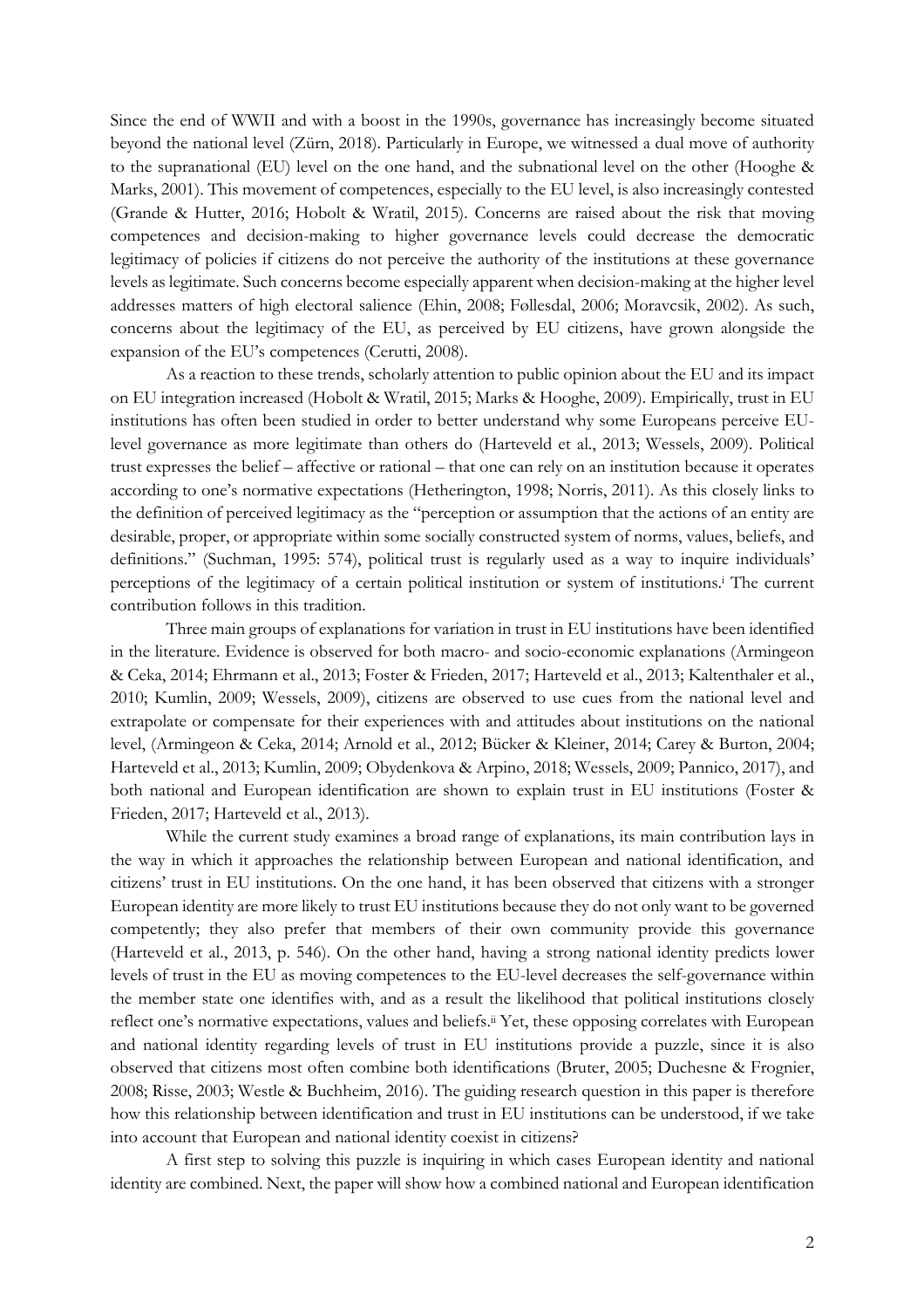Since the end of WWII and with a boost in the 1990s, governance has increasingly become situated beyond the national level (Zürn, 2018). Particularly in Europe, we witnessed a dual move of authority to the supranational (EU) level on the one hand, and the subnational level on the other (Hooghe & Marks, 2001). This movement of competences, especially to the EU level, is also increasingly contested (Grande & Hutter, 2016; Hobolt & Wratil, 2015). Concerns are raised about the risk that moving competences and decision-making to higher governance levels could decrease the democratic legitimacy of policies if citizens do not perceive the authority of the institutions at these governance levels as legitimate. Such concerns become especially apparent when decision-making at the higher level addresses matters of high electoral salience (Ehin, 2008; Føllesdal, 2006; Moravcsik, 2002). As such, concerns about the legitimacy of the EU, as perceived by EU citizens, have grown alongside the expansion of the EU's competences (Cerutti, 2008).

As a reaction to these trends, scholarly attention to public opinion about the EU and its impact on EU integration increased (Hobolt & Wratil, 2015; Marks & Hooghe, 2009). Empirically, trust in EU institutions has often been studied in order to better understand why some Europeans perceive EUlevel governance as more legitimate than others do (Harteveld et al., 2013; Wessels, 2009). Political trust expresses the belief – affective or rational – that one can rely on an institution because it operates according to one's normative expectations (Hetherington, 1998; Norris, 2011). As this closely links to the definition of perceived legitimacy as the "perception or assumption that the actions of an entity are desirable, proper, or appropriate within some socially constructed system of norms, values, beliefs, and definitions." (Suchman, 1995: 574), political trust is regularly used as a way to inquire individuals' perceptions of the legitimacy of a certain political institution or system of institutions.i The current contribution follows in this tradition.

Three main groups of explanations for variation in trust in EU institutions have been identified in the literature. Evidence is observed for both macro- and socio-economic explanations (Armingeon & Ceka, 2014; Ehrmann et al., 2013; Foster & Frieden, 2017; Harteveld et al., 2013; Kaltenthaler et al., 2010; Kumlin, 2009; Wessels, 2009), citizens are observed to use cues from the national level and extrapolate or compensate for their experiences with and attitudes about institutions on the national level, (Armingeon & Ceka, 2014; Arnold et al., 2012; Bücker & Kleiner, 2014; Carey & Burton, 2004; Harteveld et al., 2013; Kumlin, 2009; Obydenkova & Arpino, 2018; Wessels, 2009; Pannico, 2017), and both national and European identification are shown to explain trust in EU institutions (Foster & Frieden, 2017; Harteveld et al., 2013).

While the current study examines a broad range of explanations, its main contribution lays in the way in which it approaches the relationship between European and national identification, and citizens' trust in EU institutions. On the one hand, it has been observed that citizens with a stronger European identity are more likely to trust EU institutions because they do not only want to be governed competently; they also prefer that members of their own community provide this governance (Harteveld et al., 2013, p. 546). On the other hand, having a strong national identity predicts lower levels of trust in the EU as moving competences to the EU-level decreases the self-governance within the member state one identifies with, and as a result the likelihood that political institutions closely reflect one's normative expectations, values and beliefs.ii Yet, these opposing correlates with European and national identity regarding levels of trust in EU institutions provide a puzzle, since it is also observed that citizens most often combine both identifications (Bruter, 2005; Duchesne & Frognier, 2008; Risse, 2003; Westle & Buchheim, 2016). The guiding research question in this paper is therefore how this relationship between identification and trust in EU institutions can be understood, if we take into account that European and national identity coexist in citizens?

A first step to solving this puzzle is inquiring in which cases European identity and national identity are combined. Next, the paper will show how a combined national and European identification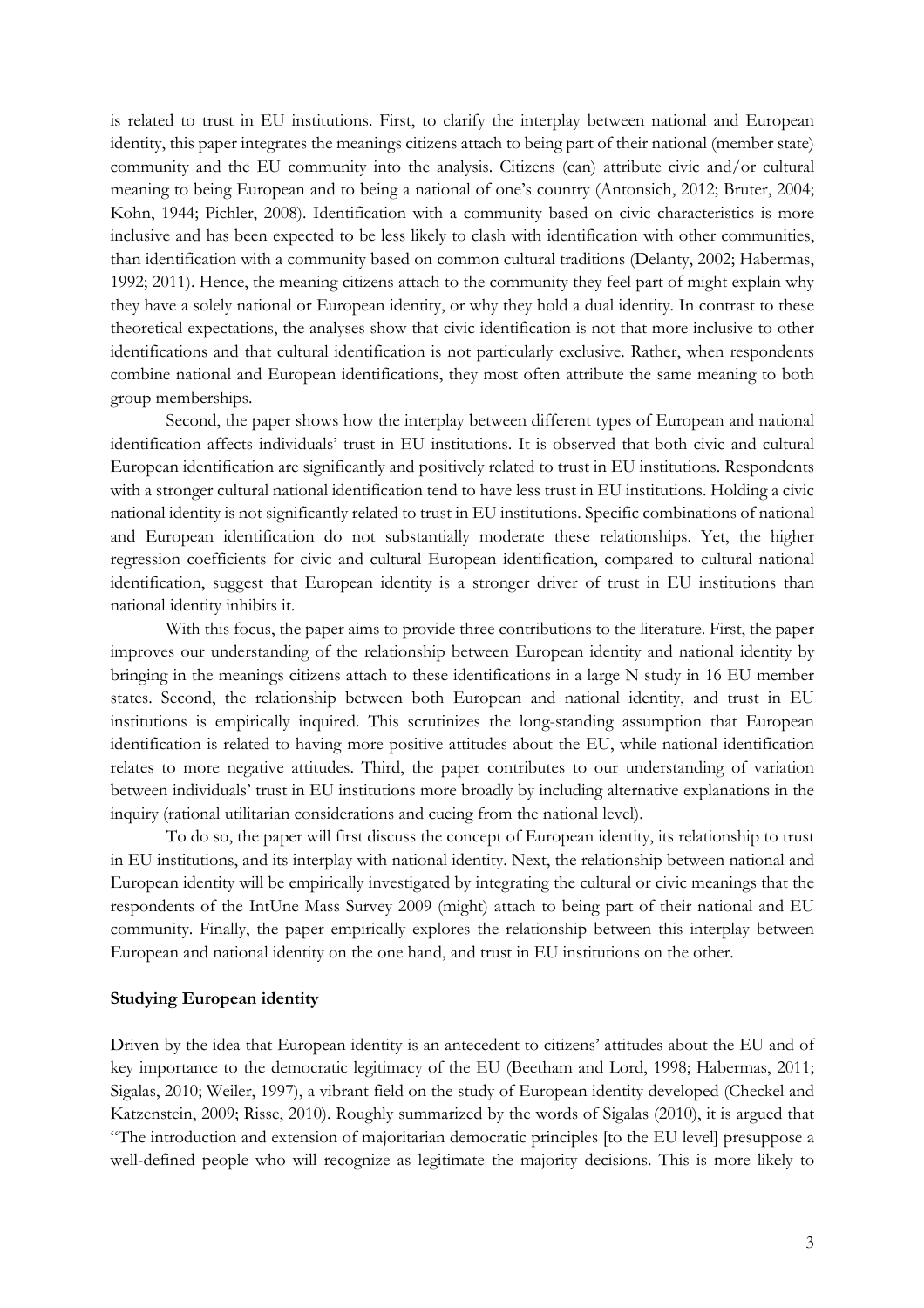is related to trust in EU institutions. First, to clarify the interplay between national and European identity, this paper integrates the meanings citizens attach to being part of their national (member state) community and the EU community into the analysis. Citizens (can) attribute civic and/or cultural meaning to being European and to being a national of one's country (Antonsich, 2012; Bruter, 2004; Kohn, 1944; Pichler, 2008). Identification with a community based on civic characteristics is more inclusive and has been expected to be less likely to clash with identification with other communities, than identification with a community based on common cultural traditions (Delanty, 2002; Habermas, 1992; 2011). Hence, the meaning citizens attach to the community they feel part of might explain why they have a solely national or European identity, or why they hold a dual identity. In contrast to these theoretical expectations, the analyses show that civic identification is not that more inclusive to other identifications and that cultural identification is not particularly exclusive. Rather, when respondents combine national and European identifications, they most often attribute the same meaning to both group memberships.

Second, the paper shows how the interplay between different types of European and national identification affects individuals' trust in EU institutions. It is observed that both civic and cultural European identification are significantly and positively related to trust in EU institutions. Respondents with a stronger cultural national identification tend to have less trust in EU institutions. Holding a civic national identity is not significantly related to trust in EU institutions. Specific combinations of national and European identification do not substantially moderate these relationships. Yet, the higher regression coefficients for civic and cultural European identification, compared to cultural national identification, suggest that European identity is a stronger driver of trust in EU institutions than national identity inhibits it.

With this focus, the paper aims to provide three contributions to the literature. First, the paper improves our understanding of the relationship between European identity and national identity by bringing in the meanings citizens attach to these identifications in a large N study in 16 EU member states. Second, the relationship between both European and national identity, and trust in EU institutions is empirically inquired. This scrutinizes the long-standing assumption that European identification is related to having more positive attitudes about the EU, while national identification relates to more negative attitudes. Third, the paper contributes to our understanding of variation between individuals' trust in EU institutions more broadly by including alternative explanations in the inquiry (rational utilitarian considerations and cueing from the national level).

To do so, the paper will first discuss the concept of European identity, its relationship to trust in EU institutions, and its interplay with national identity. Next, the relationship between national and European identity will be empirically investigated by integrating the cultural or civic meanings that the respondents of the IntUne Mass Survey 2009 (might) attach to being part of their national and EU community. Finally, the paper empirically explores the relationship between this interplay between European and national identity on the one hand, and trust in EU institutions on the other.

#### **Studying European identity**

Driven by the idea that European identity is an antecedent to citizens' attitudes about the EU and of key importance to the democratic legitimacy of the EU (Beetham and Lord, 1998; Habermas, 2011; Sigalas, 2010; Weiler, 1997), a vibrant field on the study of European identity developed (Checkel and Katzenstein, 2009; Risse, 2010). Roughly summarized by the words of Sigalas (2010), it is argued that "The introduction and extension of majoritarian democratic principles [to the EU level] presuppose a well-defined people who will recognize as legitimate the majority decisions. This is more likely to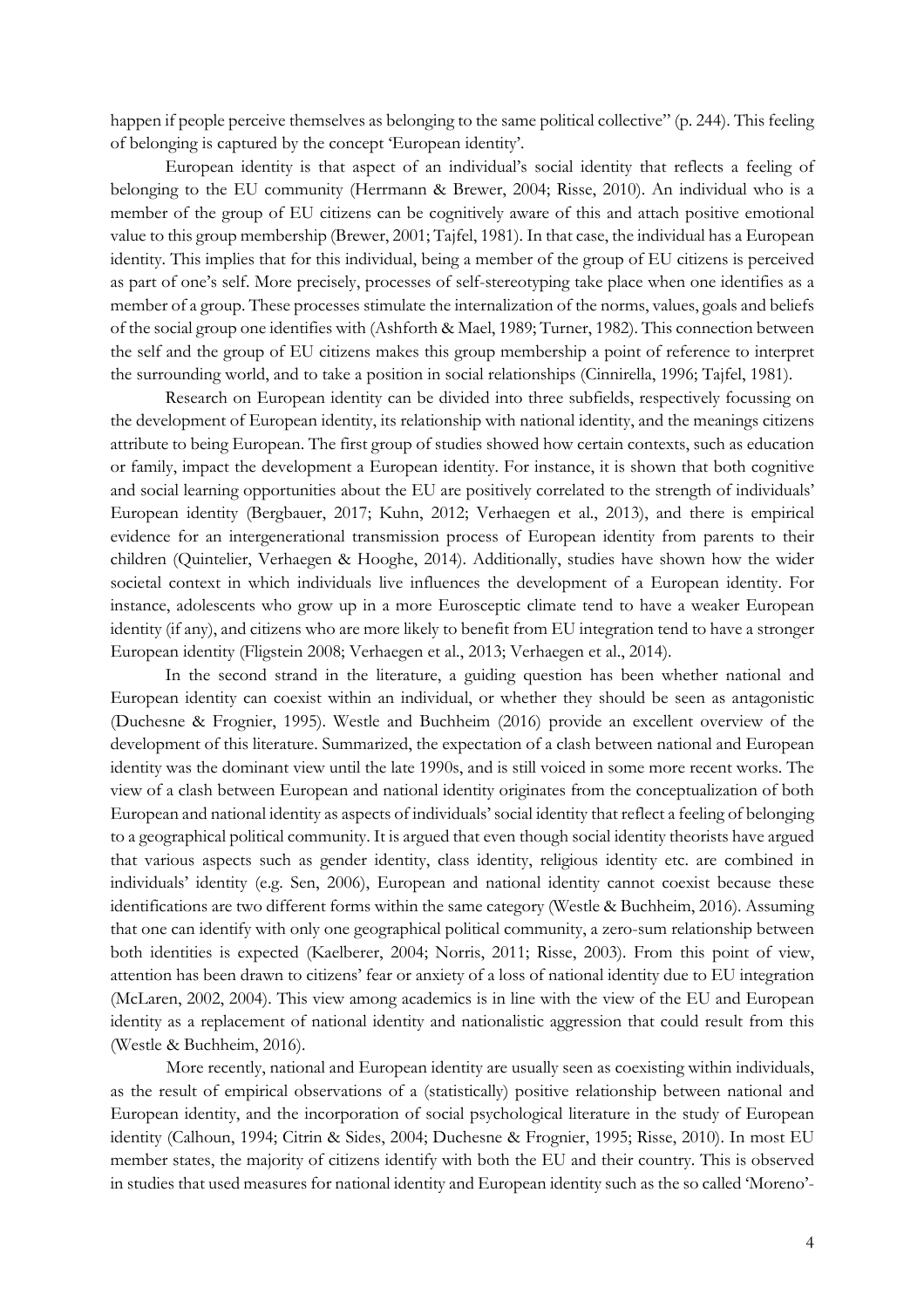happen if people perceive themselves as belonging to the same political collective" (p. 244). This feeling of belonging is captured by the concept 'European identity'.

European identity is that aspect of an individual's social identity that reflects a feeling of belonging to the EU community (Herrmann & Brewer, 2004; Risse, 2010). An individual who is a member of the group of EU citizens can be cognitively aware of this and attach positive emotional value to this group membership (Brewer, 2001; Tajfel, 1981). In that case, the individual has a European identity. This implies that for this individual, being a member of the group of EU citizens is perceived as part of one's self. More precisely, processes of self-stereotyping take place when one identifies as a member of a group. These processes stimulate the internalization of the norms, values, goals and beliefs of the social group one identifies with (Ashforth & Mael, 1989; Turner, 1982). This connection between the self and the group of EU citizens makes this group membership a point of reference to interpret the surrounding world, and to take a position in social relationships (Cinnirella, 1996; Tajfel, 1981).

Research on European identity can be divided into three subfields, respectively focussing on the development of European identity, its relationship with national identity, and the meanings citizens attribute to being European. The first group of studies showed how certain contexts, such as education or family, impact the development a European identity. For instance, it is shown that both cognitive and social learning opportunities about the EU are positively correlated to the strength of individuals' European identity (Bergbauer, 2017; Kuhn, 2012; Verhaegen et al., 2013), and there is empirical evidence for an intergenerational transmission process of European identity from parents to their children (Quintelier, Verhaegen & Hooghe, 2014). Additionally, studies have shown how the wider societal context in which individuals live influences the development of a European identity. For instance, adolescents who grow up in a more Eurosceptic climate tend to have a weaker European identity (if any), and citizens who are more likely to benefit from EU integration tend to have a stronger European identity (Fligstein 2008; Verhaegen et al., 2013; Verhaegen et al., 2014).

In the second strand in the literature, a guiding question has been whether national and European identity can coexist within an individual, or whether they should be seen as antagonistic (Duchesne & Frognier, 1995). Westle and Buchheim (2016) provide an excellent overview of the development of this literature. Summarized, the expectation of a clash between national and European identity was the dominant view until the late 1990s, and is still voiced in some more recent works. The view of a clash between European and national identity originates from the conceptualization of both European and national identity as aspects of individuals' social identity that reflect a feeling of belonging to a geographical political community. It is argued that even though social identity theorists have argued that various aspects such as gender identity, class identity, religious identity etc. are combined in individuals' identity (e.g. Sen, 2006), European and national identity cannot coexist because these identifications are two different forms within the same category (Westle & Buchheim, 2016). Assuming that one can identify with only one geographical political community, a zero-sum relationship between both identities is expected (Kaelberer, 2004; Norris, 2011; Risse, 2003). From this point of view, attention has been drawn to citizens' fear or anxiety of a loss of national identity due to EU integration (McLaren, 2002, 2004). This view among academics is in line with the view of the EU and European identity as a replacement of national identity and nationalistic aggression that could result from this (Westle & Buchheim, 2016).

More recently, national and European identity are usually seen as coexisting within individuals, as the result of empirical observations of a (statistically) positive relationship between national and European identity, and the incorporation of social psychological literature in the study of European identity (Calhoun, 1994; Citrin & Sides, 2004; Duchesne & Frognier, 1995; Risse, 2010). In most EU member states, the majority of citizens identify with both the EU and their country. This is observed in studies that used measures for national identity and European identity such as the so called 'Moreno'-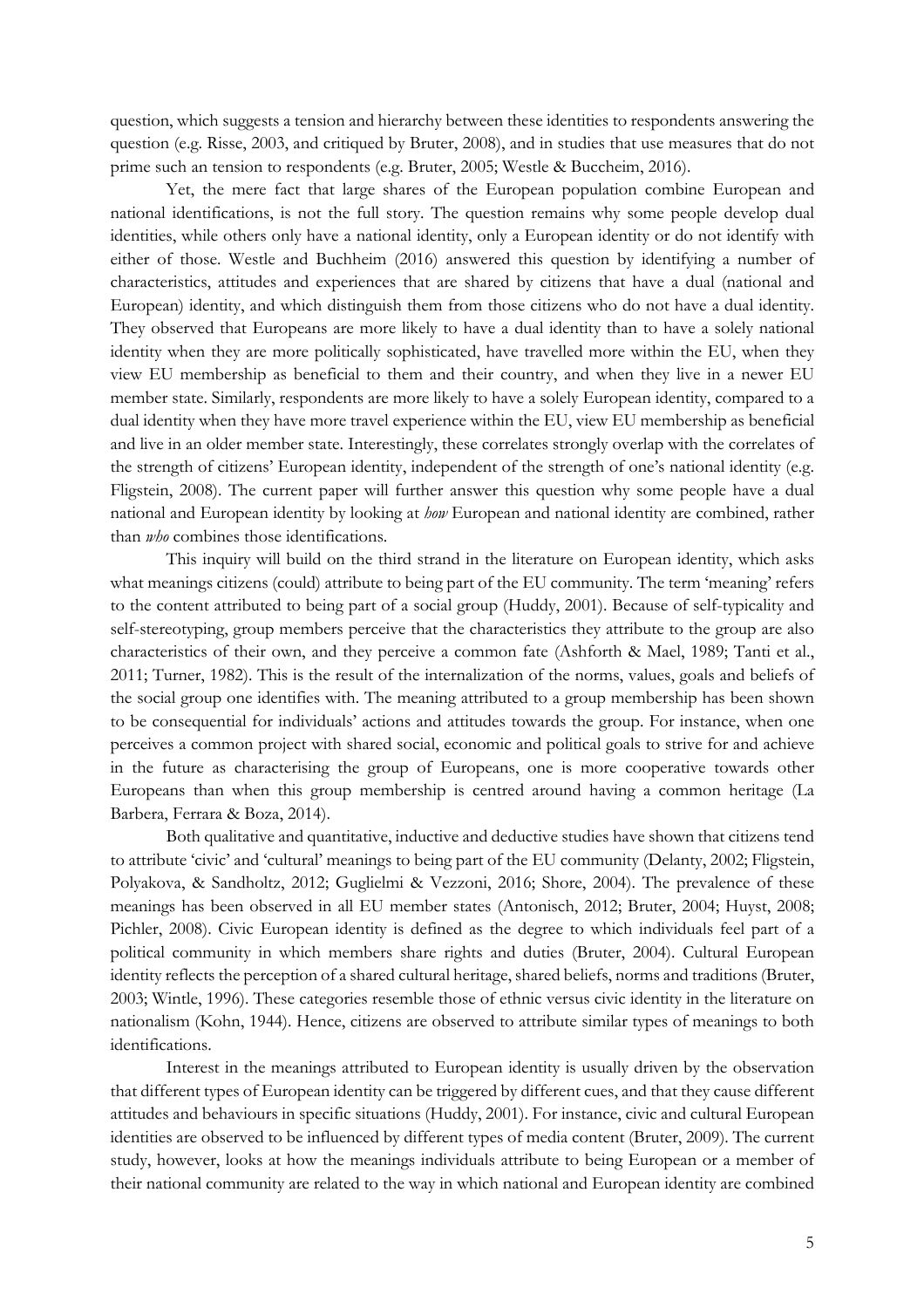question, which suggests a tension and hierarchy between these identities to respondents answering the question (e.g. Risse, 2003, and critiqued by Bruter, 2008), and in studies that use measures that do not prime such an tension to respondents (e.g. Bruter, 2005; Westle & Buccheim, 2016).

Yet, the mere fact that large shares of the European population combine European and national identifications, is not the full story. The question remains why some people develop dual identities, while others only have a national identity, only a European identity or do not identify with either of those. Westle and Buchheim (2016) answered this question by identifying a number of characteristics, attitudes and experiences that are shared by citizens that have a dual (national and European) identity, and which distinguish them from those citizens who do not have a dual identity. They observed that Europeans are more likely to have a dual identity than to have a solely national identity when they are more politically sophisticated, have travelled more within the EU, when they view EU membership as beneficial to them and their country, and when they live in a newer EU member state. Similarly, respondents are more likely to have a solely European identity, compared to a dual identity when they have more travel experience within the EU, view EU membership as beneficial and live in an older member state. Interestingly, these correlates strongly overlap with the correlates of the strength of citizens' European identity, independent of the strength of one's national identity (e.g. Fligstein, 2008). The current paper will further answer this question why some people have a dual national and European identity by looking at *how* European and national identity are combined, rather than *who* combines those identifications.

This inquiry will build on the third strand in the literature on European identity, which asks what meanings citizens (could) attribute to being part of the EU community. The term 'meaning' refers to the content attributed to being part of a social group (Huddy, 2001). Because of self-typicality and self-stereotyping, group members perceive that the characteristics they attribute to the group are also characteristics of their own, and they perceive a common fate (Ashforth & Mael, 1989; Tanti et al., 2011; Turner, 1982). This is the result of the internalization of the norms, values, goals and beliefs of the social group one identifies with. The meaning attributed to a group membership has been shown to be consequential for individuals' actions and attitudes towards the group. For instance, when one perceives a common project with shared social, economic and political goals to strive for and achieve in the future as characterising the group of Europeans, one is more cooperative towards other Europeans than when this group membership is centred around having a common heritage (La Barbera, Ferrara & Boza, 2014).

Both qualitative and quantitative, inductive and deductive studies have shown that citizens tend to attribute 'civic' and 'cultural' meanings to being part of the EU community (Delanty, 2002; Fligstein, Polyakova, & Sandholtz, 2012; Guglielmi & Vezzoni, 2016; Shore, 2004). The prevalence of these meanings has been observed in all EU member states (Antonisch, 2012; Bruter, 2004; Huyst, 2008; Pichler, 2008). Civic European identity is defined as the degree to which individuals feel part of a political community in which members share rights and duties (Bruter, 2004). Cultural European identity reflects the perception of a shared cultural heritage, shared beliefs, norms and traditions (Bruter, 2003; Wintle, 1996). These categories resemble those of ethnic versus civic identity in the literature on nationalism (Kohn, 1944). Hence, citizens are observed to attribute similar types of meanings to both identifications.

Interest in the meanings attributed to European identity is usually driven by the observation that different types of European identity can be triggered by different cues, and that they cause different attitudes and behaviours in specific situations (Huddy, 2001). For instance, civic and cultural European identities are observed to be influenced by different types of media content (Bruter, 2009). The current study, however, looks at how the meanings individuals attribute to being European or a member of their national community are related to the way in which national and European identity are combined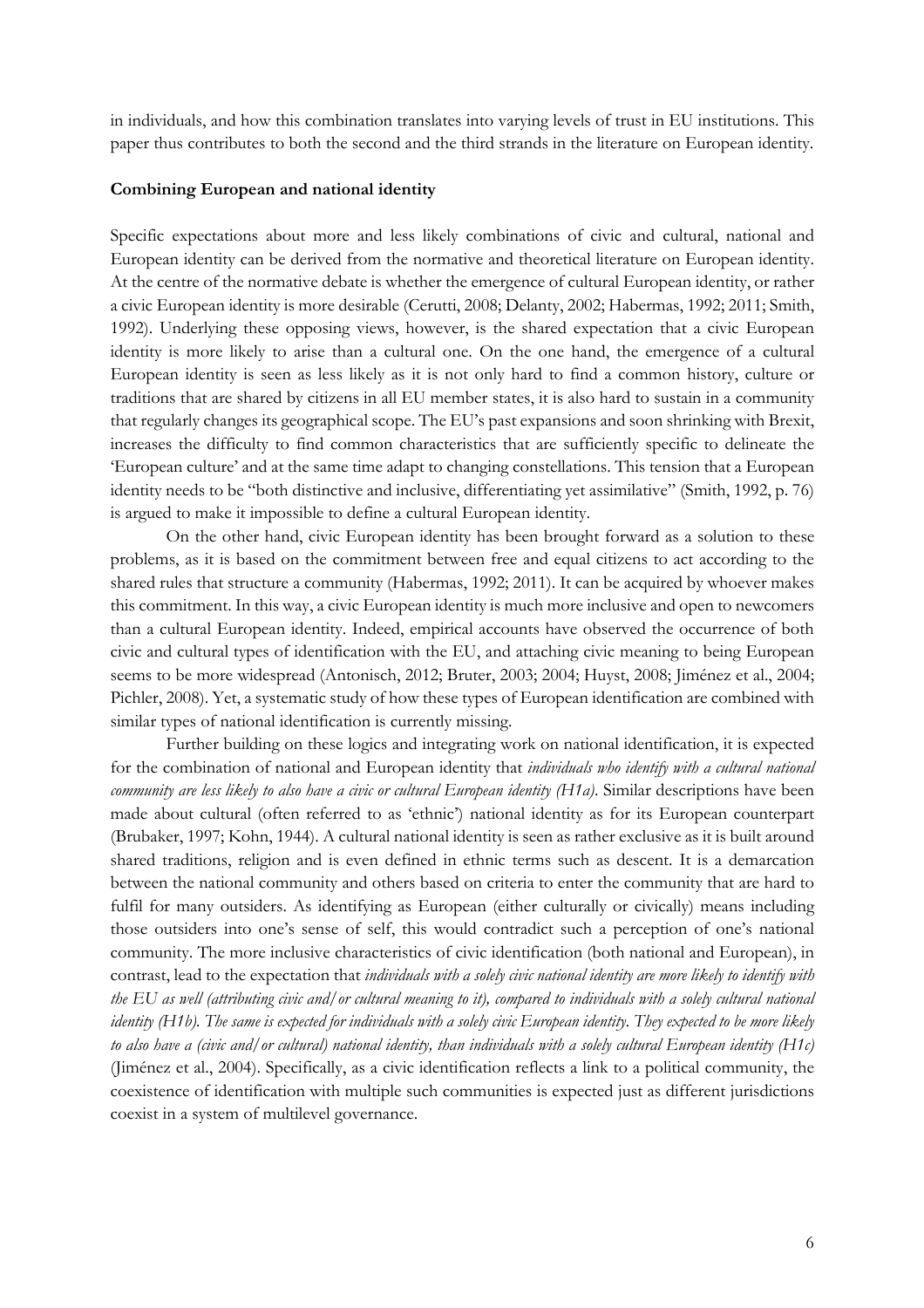in individuals, and how this combination translates into varying levels of trust in EU institutions. This paper thus contributes to both the second and the third strands in the literature on European identity.

#### **Combining European and national identity**

Specific expectations about more and less likely combinations of civic and cultural, national and European identity can be derived from the normative and theoretical literature on European identity. At the centre of the normative debate is whether the emergence of cultural European identity, or rather a civic European identity is more desirable (Cerutti, 2008; Delanty, 2002; Habermas, 1992; 2011; Smith, 1992). Underlying these opposing views, however, is the shared expectation that a civic European identity is more likely to arise than a cultural one. On the one hand, the emergence of a cultural European identity is seen as less likely as it is not only hard to find a common history, culture or traditions that are shared by citizens in all EU member states, it is also hard to sustain in a community that regularly changes its geographical scope. The EU's past expansions and soon shrinking with Brexit, increases the difficulty to find common characteristics that are sufficiently specific to delineate the 'European culture' and at the same time adapt to changing constellations. This tension that a European identity needs to be "both distinctive and inclusive, differentiating yet assimilative" (Smith, 1992, p. 76) is argued to make it impossible to define a cultural European identity.

On the other hand, civic European identity has been brought forward as a solution to these problems, as it is based on the commitment between free and equal citizens to act according to the shared rules that structure a community (Habermas, 1992; 2011). It can be acquired by whoever makes this commitment. In this way, a civic European identity is much more inclusive and open to newcomers than a cultural European identity. Indeed, empirical accounts have observed the occurrence of both civic and cultural types of identification with the EU, and attaching civic meaning to being European seems to be more widespread (Antonisch, 2012; Bruter, 2003; 2004; Huyst, 2008; Jiménez et al., 2004; Pichler, 2008). Yet, a systematic study of how these types of European identification are combined with similar types of national identification is currently missing.

Further building on these logics and integrating work on national identification, it is expected for the combination of national and European identity that *individuals who identify with a cultural national community are less likely to also have a civic or cultural European identity (H1a)*. Similar descriptions have been made about cultural (often referred to as 'ethnic') national identity as for its European counterpart (Brubaker, 1997; Kohn, 1944). A cultural national identity is seen as rather exclusive as it is built around shared traditions, religion and is even defined in ethnic terms such as descent. It is a demarcation between the national community and others based on criteria to enter the community that are hard to fulfil for many outsiders. As identifying as European (either culturally or civically) means including those outsiders into one's sense of self, this would contradict such a perception of one's national community. The more inclusive characteristics of civic identification (both national and European), in contrast, lead to the expectation that *individuals with a solely civic national identity are more likely to identify with the EU as well (attributing civic and/or cultural meaning to it), compared to individuals with a solely cultural national identity (H1b). The same is expected for individuals with a solely civic European identity. They expected to be more likely to also have a (civic and/or cultural) national identity, than individuals with a solely cultural European identity (H1c)* (Jiménez et al., 2004). Specifically, as a civic identification reflects a link to a political community, the coexistence of identification with multiple such communities is expected just as different jurisdictions coexist in a system of multilevel governance.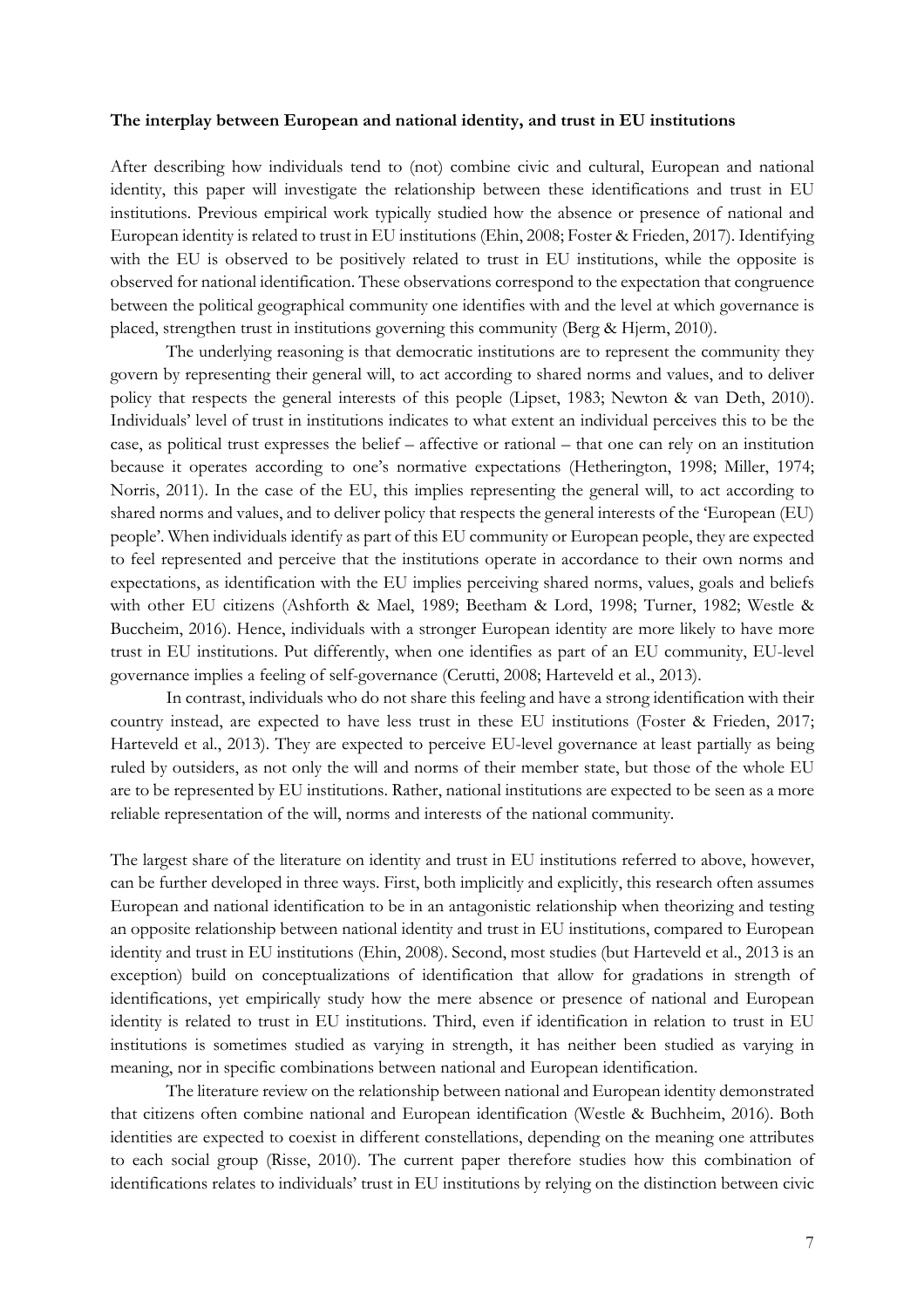#### **The interplay between European and national identity, and trust in EU institutions**

After describing how individuals tend to (not) combine civic and cultural, European and national identity, this paper will investigate the relationship between these identifications and trust in EU institutions. Previous empirical work typically studied how the absence or presence of national and European identity is related to trust in EU institutions (Ehin, 2008; Foster & Frieden, 2017). Identifying with the EU is observed to be positively related to trust in EU institutions, while the opposite is observed for national identification. These observations correspond to the expectation that congruence between the political geographical community one identifies with and the level at which governance is placed, strengthen trust in institutions governing this community (Berg & Hjerm, 2010).

The underlying reasoning is that democratic institutions are to represent the community they govern by representing their general will, to act according to shared norms and values, and to deliver policy that respects the general interests of this people (Lipset, 1983; Newton & van Deth, 2010). Individuals' level of trust in institutions indicates to what extent an individual perceives this to be the case, as political trust expresses the belief – affective or rational – that one can rely on an institution because it operates according to one's normative expectations (Hetherington, 1998; Miller, 1974; Norris, 2011). In the case of the EU, this implies representing the general will, to act according to shared norms and values, and to deliver policy that respects the general interests of the 'European (EU) people'. When individuals identify as part of this EU community or European people, they are expected to feel represented and perceive that the institutions operate in accordance to their own norms and expectations, as identification with the EU implies perceiving shared norms, values, goals and beliefs with other EU citizens (Ashforth & Mael, 1989; Beetham & Lord, 1998; Turner, 1982; Westle & Buccheim, 2016). Hence, individuals with a stronger European identity are more likely to have more trust in EU institutions. Put differently, when one identifies as part of an EU community, EU-level governance implies a feeling of self-governance (Cerutti, 2008; Harteveld et al., 2013).

In contrast, individuals who do not share this feeling and have a strong identification with their country instead, are expected to have less trust in these EU institutions (Foster & Frieden, 2017; Harteveld et al., 2013). They are expected to perceive EU-level governance at least partially as being ruled by outsiders, as not only the will and norms of their member state, but those of the whole EU are to be represented by EU institutions. Rather, national institutions are expected to be seen as a more reliable representation of the will, norms and interests of the national community.

The largest share of the literature on identity and trust in EU institutions referred to above, however, can be further developed in three ways. First, both implicitly and explicitly, this research often assumes European and national identification to be in an antagonistic relationship when theorizing and testing an opposite relationship between national identity and trust in EU institutions, compared to European identity and trust in EU institutions (Ehin, 2008). Second, most studies (but Harteveld et al., 2013 is an exception) build on conceptualizations of identification that allow for gradations in strength of identifications, yet empirically study how the mere absence or presence of national and European identity is related to trust in EU institutions. Third, even if identification in relation to trust in EU institutions is sometimes studied as varying in strength, it has neither been studied as varying in meaning, nor in specific combinations between national and European identification.

The literature review on the relationship between national and European identity demonstrated that citizens often combine national and European identification (Westle & Buchheim, 2016). Both identities are expected to coexist in different constellations, depending on the meaning one attributes to each social group (Risse, 2010). The current paper therefore studies how this combination of identifications relates to individuals' trust in EU institutions by relying on the distinction between civic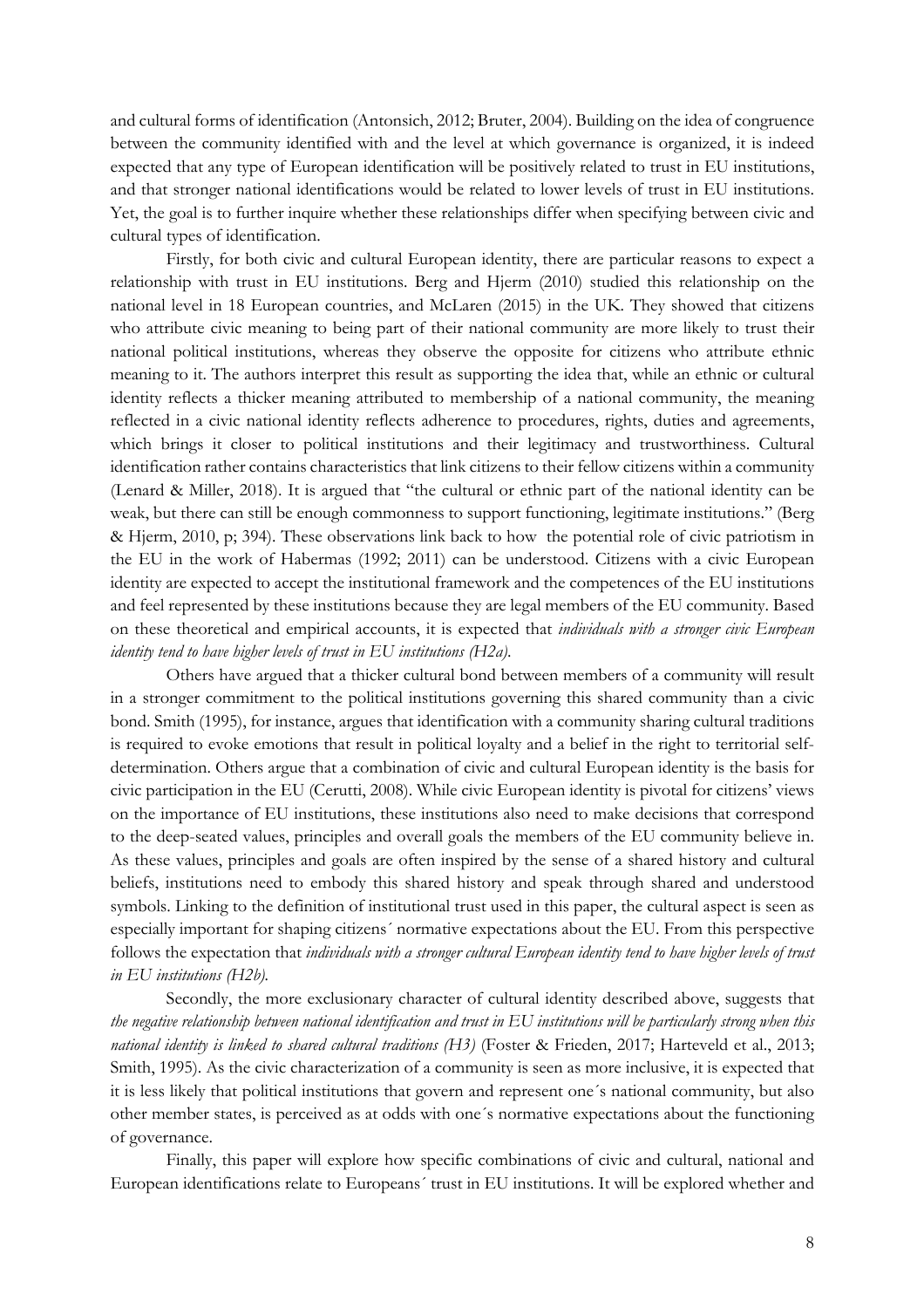and cultural forms of identification (Antonsich, 2012; Bruter, 2004). Building on the idea of congruence between the community identified with and the level at which governance is organized, it is indeed expected that any type of European identification will be positively related to trust in EU institutions, and that stronger national identifications would be related to lower levels of trust in EU institutions. Yet, the goal is to further inquire whether these relationships differ when specifying between civic and cultural types of identification.

Firstly, for both civic and cultural European identity, there are particular reasons to expect a relationship with trust in EU institutions. Berg and Hjerm (2010) studied this relationship on the national level in 18 European countries, and McLaren (2015) in the UK. They showed that citizens who attribute civic meaning to being part of their national community are more likely to trust their national political institutions, whereas they observe the opposite for citizens who attribute ethnic meaning to it. The authors interpret this result as supporting the idea that, while an ethnic or cultural identity reflects a thicker meaning attributed to membership of a national community, the meaning reflected in a civic national identity reflects adherence to procedures, rights, duties and agreements, which brings it closer to political institutions and their legitimacy and trustworthiness. Cultural identification rather contains characteristics that link citizens to their fellow citizens within a community (Lenard & Miller, 2018). It is argued that "the cultural or ethnic part of the national identity can be weak, but there can still be enough commonness to support functioning, legitimate institutions." (Berg & Hjerm, 2010, p; 394). These observations link back to how the potential role of civic patriotism in the EU in the work of Habermas (1992; 2011) can be understood. Citizens with a civic European identity are expected to accept the institutional framework and the competences of the EU institutions and feel represented by these institutions because they are legal members of the EU community. Based on these theoretical and empirical accounts, it is expected that *individuals with a stronger civic European identity tend to have higher levels of trust in EU institutions (H2a)*.

Others have argued that a thicker cultural bond between members of a community will result in a stronger commitment to the political institutions governing this shared community than a civic bond. Smith (1995), for instance, argues that identification with a community sharing cultural traditions is required to evoke emotions that result in political loyalty and a belief in the right to territorial selfdetermination. Others argue that a combination of civic and cultural European identity is the basis for civic participation in the EU (Cerutti, 2008). While civic European identity is pivotal for citizens' views on the importance of EU institutions, these institutions also need to make decisions that correspond to the deep-seated values, principles and overall goals the members of the EU community believe in. As these values, principles and goals are often inspired by the sense of a shared history and cultural beliefs, institutions need to embody this shared history and speak through shared and understood symbols. Linking to the definition of institutional trust used in this paper, the cultural aspect is seen as especially important for shaping citizens´ normative expectations about the EU. From this perspective follows the expectation that *individuals with a stronger cultural European identity tend to have higher levels of trust in EU institutions (H2b).*

Secondly, the more exclusionary character of cultural identity described above, suggests that *the negative relationship between national identification and trust in EU institutions will be particularly strong when this national identity is linked to shared cultural traditions (H3)* (Foster & Frieden, 2017; Harteveld et al., 2013; Smith, 1995). As the civic characterization of a community is seen as more inclusive, it is expected that it is less likely that political institutions that govern and represent one´s national community, but also other member states, is perceived as at odds with one´s normative expectations about the functioning of governance.

Finally, this paper will explore how specific combinations of civic and cultural, national and European identifications relate to Europeans´ trust in EU institutions. It will be explored whether and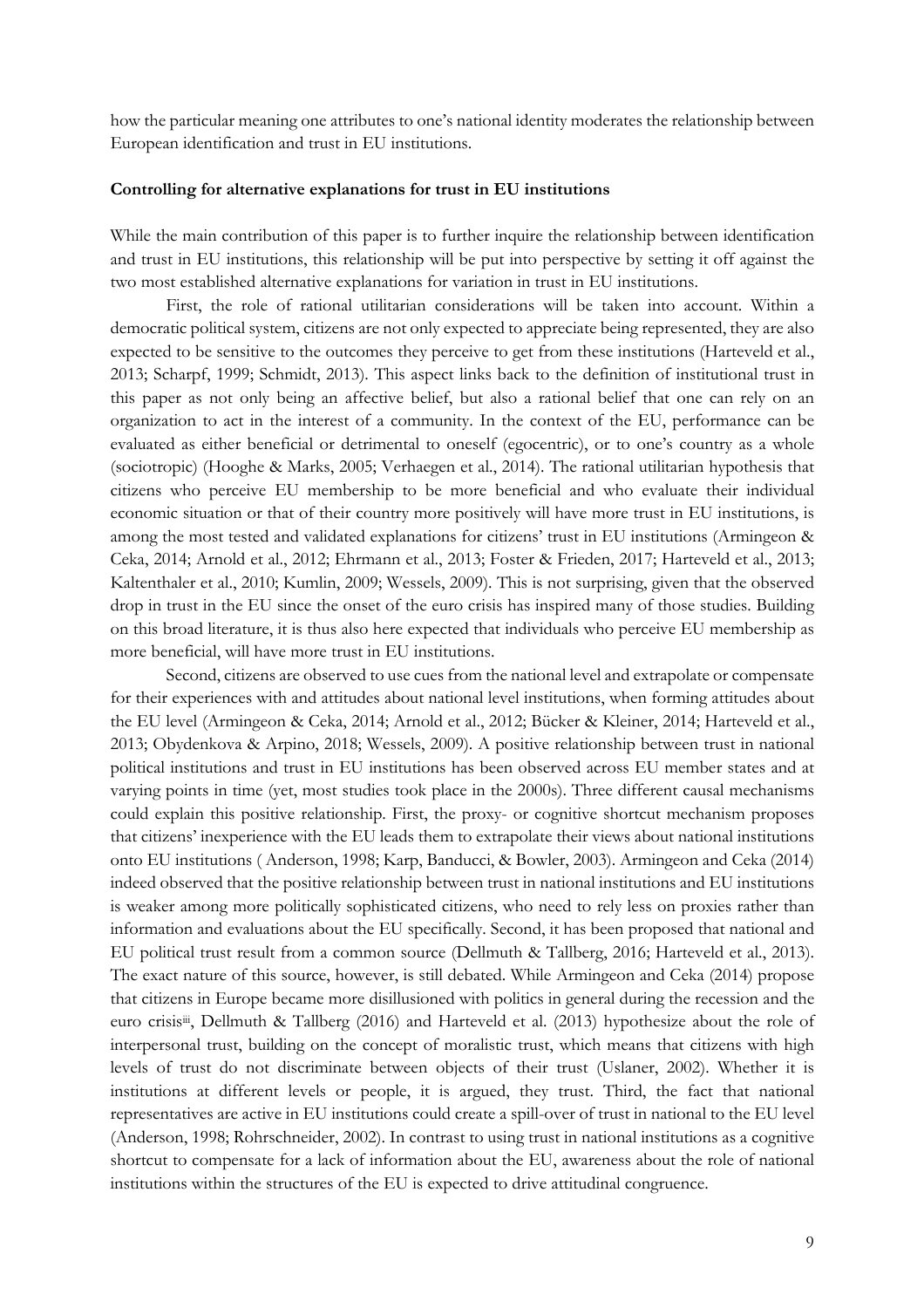how the particular meaning one attributes to one's national identity moderates the relationship between European identification and trust in EU institutions.

#### **Controlling for alternative explanations for trust in EU institutions**

While the main contribution of this paper is to further inquire the relationship between identification and trust in EU institutions, this relationship will be put into perspective by setting it off against the two most established alternative explanations for variation in trust in EU institutions.

First, the role of rational utilitarian considerations will be taken into account. Within a democratic political system, citizens are not only expected to appreciate being represented, they are also expected to be sensitive to the outcomes they perceive to get from these institutions (Harteveld et al., 2013; Scharpf, 1999; Schmidt, 2013). This aspect links back to the definition of institutional trust in this paper as not only being an affective belief, but also a rational belief that one can rely on an organization to act in the interest of a community. In the context of the EU, performance can be evaluated as either beneficial or detrimental to oneself (egocentric), or to one's country as a whole (sociotropic) (Hooghe & Marks, 2005; Verhaegen et al., 2014). The rational utilitarian hypothesis that citizens who perceive EU membership to be more beneficial and who evaluate their individual economic situation or that of their country more positively will have more trust in EU institutions, is among the most tested and validated explanations for citizens' trust in EU institutions (Armingeon & Ceka, 2014; Arnold et al., 2012; Ehrmann et al., 2013; Foster & Frieden, 2017; Harteveld et al., 2013; Kaltenthaler et al., 2010; Kumlin, 2009; Wessels, 2009). This is not surprising, given that the observed drop in trust in the EU since the onset of the euro crisis has inspired many of those studies. Building on this broad literature, it is thus also here expected that individuals who perceive EU membership as more beneficial, will have more trust in EU institutions.

Second, citizens are observed to use cues from the national level and extrapolate or compensate for their experiences with and attitudes about national level institutions, when forming attitudes about the EU level (Armingeon & Ceka, 2014; Arnold et al., 2012; Bücker & Kleiner, 2014; Harteveld et al., 2013; Obydenkova & Arpino, 2018; Wessels, 2009). A positive relationship between trust in national political institutions and trust in EU institutions has been observed across EU member states and at varying points in time (yet, most studies took place in the 2000s). Three different causal mechanisms could explain this positive relationship. First, the proxy- or cognitive shortcut mechanism proposes that citizens' inexperience with the EU leads them to extrapolate their views about national institutions onto EU institutions ( Anderson, 1998; Karp, Banducci, & Bowler, 2003). Armingeon and Ceka (2014) indeed observed that the positive relationship between trust in national institutions and EU institutions is weaker among more politically sophisticated citizens, who need to rely less on proxies rather than information and evaluations about the EU specifically. Second, it has been proposed that national and EU political trust result from a common source (Dellmuth & Tallberg, 2016; Harteveld et al., 2013). The exact nature of this source, however, is still debated. While Armingeon and Ceka (2014) propose that citizens in Europe became more disillusioned with politics in general during the recession and the euro crisisiii, Dellmuth & Tallberg (2016) and Harteveld et al. (2013) hypothesize about the role of interpersonal trust, building on the concept of moralistic trust, which means that citizens with high levels of trust do not discriminate between objects of their trust (Uslaner, 2002). Whether it is institutions at different levels or people, it is argued, they trust. Third, the fact that national representatives are active in EU institutions could create a spill-over of trust in national to the EU level (Anderson, 1998; Rohrschneider, 2002). In contrast to using trust in national institutions as a cognitive shortcut to compensate for a lack of information about the EU, awareness about the role of national institutions within the structures of the EU is expected to drive attitudinal congruence.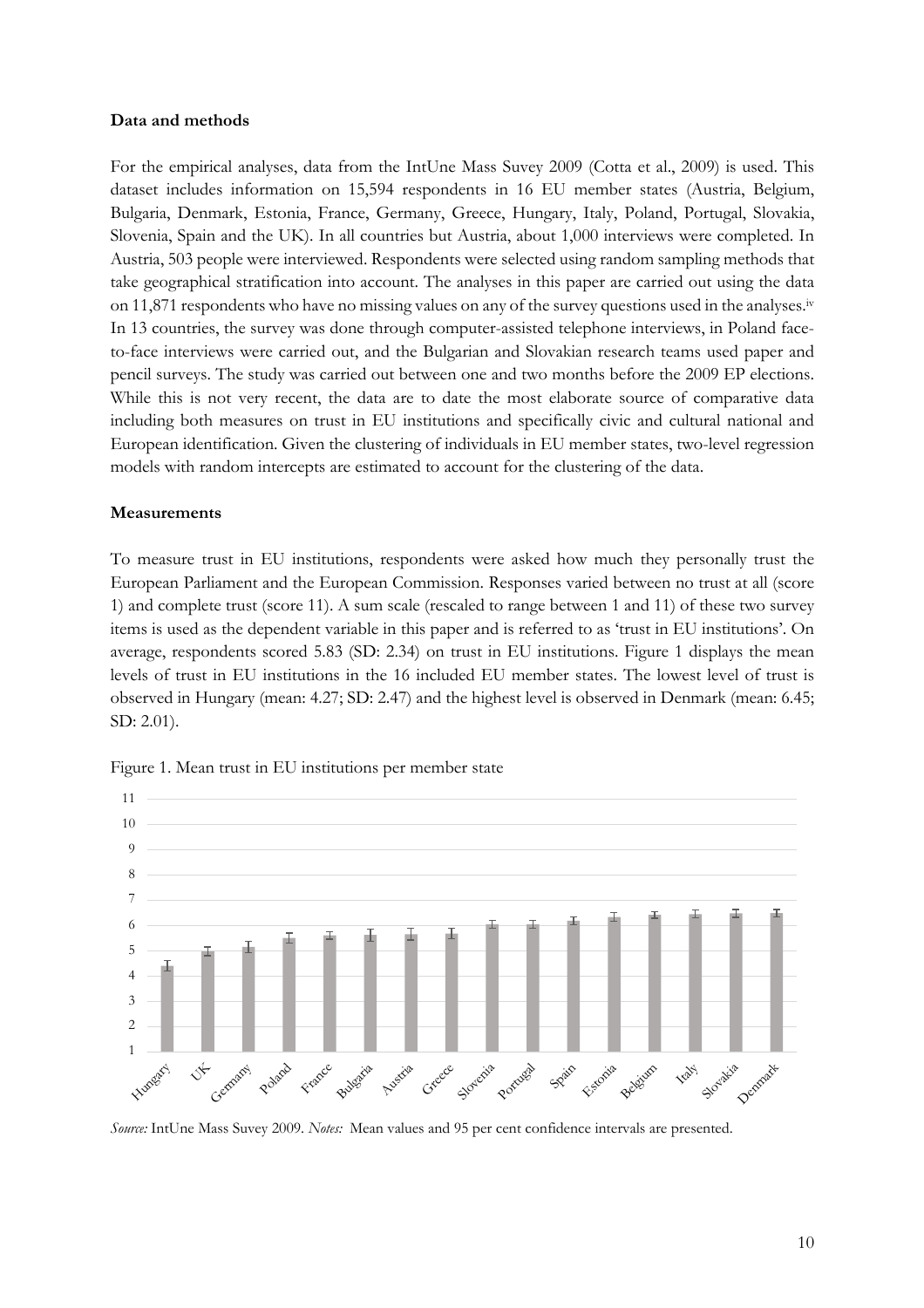#### **Data and methods**

For the empirical analyses, data from the IntUne Mass Suvey 2009 (Cotta et al., 2009) is used. This dataset includes information on 15,594 respondents in 16 EU member states (Austria, Belgium, Bulgaria, Denmark, Estonia, France, Germany, Greece, Hungary, Italy, Poland, Portugal, Slovakia, Slovenia, Spain and the UK). In all countries but Austria, about 1,000 interviews were completed. In Austria, 503 people were interviewed. Respondents were selected using random sampling methods that take geographical stratification into account. The analyses in this paper are carried out using the data on 11,871 respondents who have no missing values on any of the survey questions used in the analyses.iv In 13 countries, the survey was done through computer-assisted telephone interviews, in Poland faceto-face interviews were carried out, and the Bulgarian and Slovakian research teams used paper and pencil surveys. The study was carried out between one and two months before the 2009 EP elections. While this is not very recent, the data are to date the most elaborate source of comparative data including both measures on trust in EU institutions and specifically civic and cultural national and European identification. Given the clustering of individuals in EU member states, two-level regression models with random intercepts are estimated to account for the clustering of the data.

#### **Measurements**

To measure trust in EU institutions, respondents were asked how much they personally trust the European Parliament and the European Commission. Responses varied between no trust at all (score 1) and complete trust (score 11). A sum scale (rescaled to range between 1 and 11) of these two survey items is used as the dependent variable in this paper and is referred to as 'trust in EU institutions'. On average, respondents scored 5.83 (SD: 2.34) on trust in EU institutions. Figure 1 displays the mean levels of trust in EU institutions in the 16 included EU member states. The lowest level of trust is observed in Hungary (mean: 4.27; SD: 2.47) and the highest level is observed in Denmark (mean: 6.45; SD: 2.01).





*Source:* IntUne Mass Suvey 2009. *Notes:* Mean values and 95 per cent confidence intervals are presented.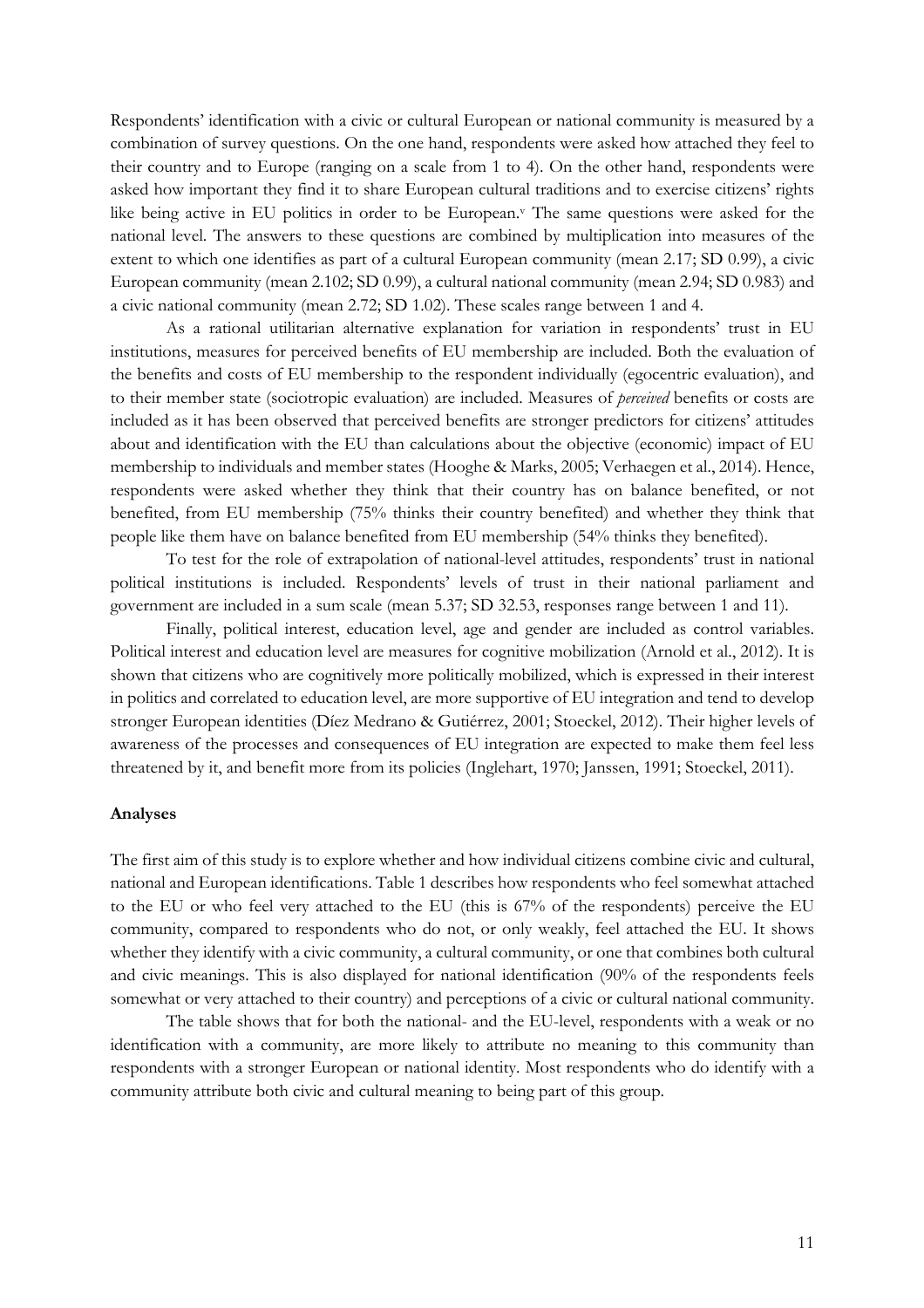Respondents' identification with a civic or cultural European or national community is measured by a combination of survey questions. On the one hand, respondents were asked how attached they feel to their country and to Europe (ranging on a scale from 1 to 4). On the other hand, respondents were asked how important they find it to share European cultural traditions and to exercise citizens' rights like being active in EU politics in order to be European.<sup>v</sup> The same questions were asked for the national level. The answers to these questions are combined by multiplication into measures of the extent to which one identifies as part of a cultural European community (mean 2.17; SD 0.99), a civic European community (mean 2.102; SD 0.99), a cultural national community (mean 2.94; SD 0.983) and a civic national community (mean 2.72; SD 1.02). These scales range between 1 and 4.

As a rational utilitarian alternative explanation for variation in respondents' trust in EU institutions, measures for perceived benefits of EU membership are included. Both the evaluation of the benefits and costs of EU membership to the respondent individually (egocentric evaluation), and to their member state (sociotropic evaluation) are included. Measures of *perceived* benefits or costs are included as it has been observed that perceived benefits are stronger predictors for citizens' attitudes about and identification with the EU than calculations about the objective (economic) impact of EU membership to individuals and member states (Hooghe & Marks, 2005; Verhaegen et al., 2014). Hence, respondents were asked whether they think that their country has on balance benefited, or not benefited, from EU membership (75% thinks their country benefited) and whether they think that people like them have on balance benefited from EU membership (54% thinks they benefited).

To test for the role of extrapolation of national-level attitudes, respondents' trust in national political institutions is included. Respondents' levels of trust in their national parliament and government are included in a sum scale (mean 5.37; SD 32.53, responses range between 1 and 11).

Finally, political interest, education level, age and gender are included as control variables. Political interest and education level are measures for cognitive mobilization (Arnold et al., 2012). It is shown that citizens who are cognitively more politically mobilized, which is expressed in their interest in politics and correlated to education level, are more supportive of EU integration and tend to develop stronger European identities (Díez Medrano & Gutiérrez, 2001; Stoeckel, 2012). Their higher levels of awareness of the processes and consequences of EU integration are expected to make them feel less threatened by it, and benefit more from its policies (Inglehart, 1970; Janssen, 1991; Stoeckel, 2011).

#### **Analyses**

The first aim of this study is to explore whether and how individual citizens combine civic and cultural, national and European identifications. Table 1 describes how respondents who feel somewhat attached to the EU or who feel very attached to the EU (this is 67% of the respondents) perceive the EU community, compared to respondents who do not, or only weakly, feel attached the EU. It shows whether they identify with a civic community, a cultural community, or one that combines both cultural and civic meanings. This is also displayed for national identification (90% of the respondents feels somewhat or very attached to their country) and perceptions of a civic or cultural national community.

The table shows that for both the national- and the EU-level, respondents with a weak or no identification with a community, are more likely to attribute no meaning to this community than respondents with a stronger European or national identity. Most respondents who do identify with a community attribute both civic and cultural meaning to being part of this group.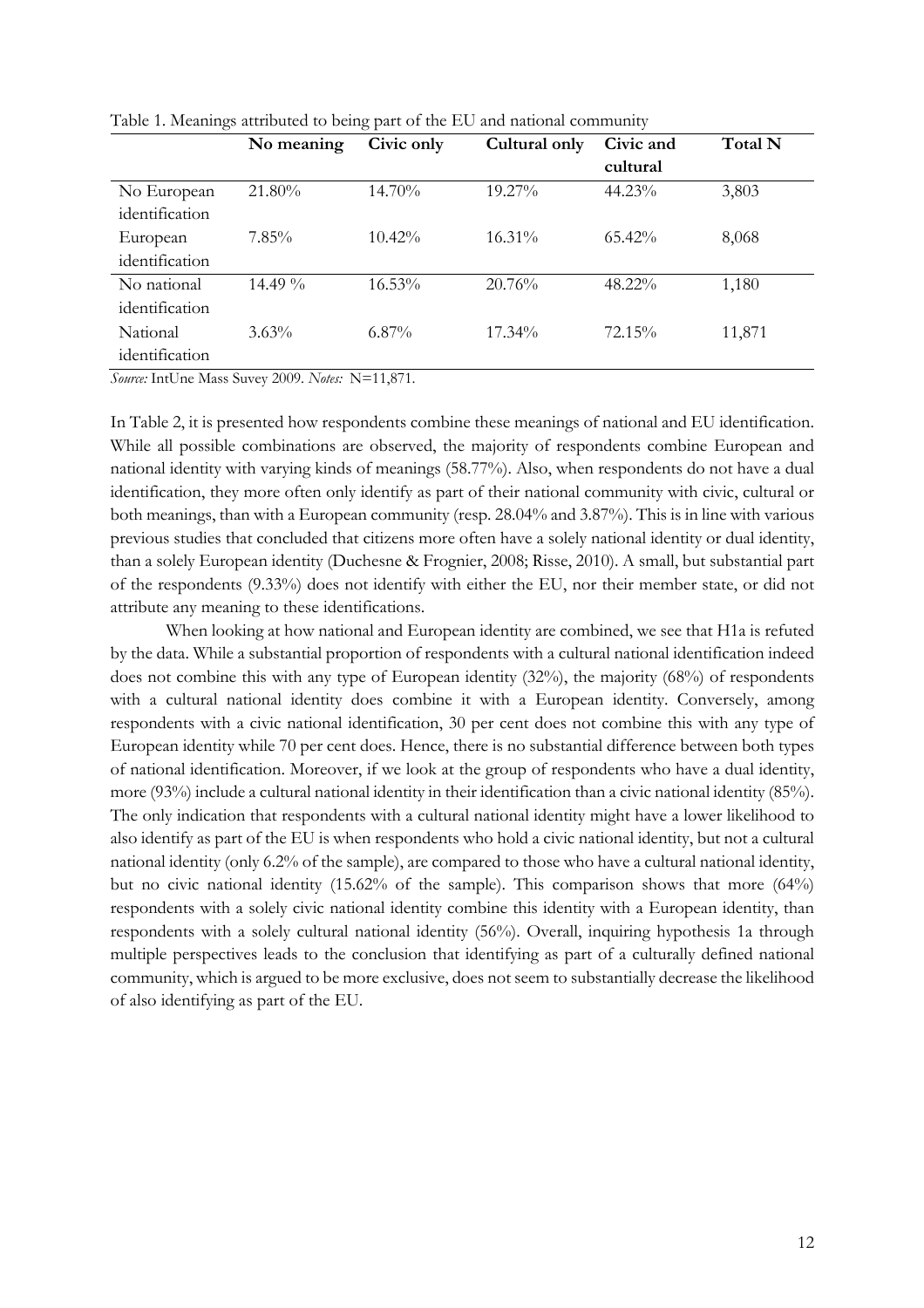|                | No meaning | Civic only | Cultural only | Civic and | Total N |
|----------------|------------|------------|---------------|-----------|---------|
|                |            |            |               | cultural  |         |
| No European    | 21.80%     | 14.70%     | 19.27%        | $44.23\%$ | 3,803   |
| identification |            |            |               |           |         |
| European       | $7.85\%$   | $10.42\%$  | $16.31\%$     | $65.42\%$ | 8,068   |
| identification |            |            |               |           |         |
| No national    | 14.49 $\%$ | 16.53%     | 20.76%        | 48.22%    | 1,180   |
| identification |            |            |               |           |         |
| National       | $3.63\%$   | $6.87\%$   | $17.34\%$     | 72.15%    | 11,871  |
| identification |            |            |               |           |         |

Table 1. Meanings attributed to being part of the EU and national community

*Source:* IntUne Mass Suvey 2009. *Notes:* N=11,871.

In Table 2, it is presented how respondents combine these meanings of national and EU identification. While all possible combinations are observed, the majority of respondents combine European and national identity with varying kinds of meanings (58.77%). Also, when respondents do not have a dual identification, they more often only identify as part of their national community with civic, cultural or both meanings, than with a European community (resp. 28.04% and 3.87%). This is in line with various previous studies that concluded that citizens more often have a solely national identity or dual identity, than a solely European identity (Duchesne & Frognier, 2008; Risse, 2010). A small, but substantial part of the respondents (9.33%) does not identify with either the EU, nor their member state, or did not attribute any meaning to these identifications.

When looking at how national and European identity are combined, we see that H1a is refuted by the data. While a substantial proportion of respondents with a cultural national identification indeed does not combine this with any type of European identity (32%), the majority (68%) of respondents with a cultural national identity does combine it with a European identity. Conversely, among respondents with a civic national identification, 30 per cent does not combine this with any type of European identity while 70 per cent does. Hence, there is no substantial difference between both types of national identification. Moreover, if we look at the group of respondents who have a dual identity, more (93%) include a cultural national identity in their identification than a civic national identity (85%). The only indication that respondents with a cultural national identity might have a lower likelihood to also identify as part of the EU is when respondents who hold a civic national identity, but not a cultural national identity (only 6.2% of the sample), are compared to those who have a cultural national identity, but no civic national identity (15.62% of the sample). This comparison shows that more (64%) respondents with a solely civic national identity combine this identity with a European identity, than respondents with a solely cultural national identity (56%). Overall, inquiring hypothesis 1a through multiple perspectives leads to the conclusion that identifying as part of a culturally defined national community, which is argued to be more exclusive, does not seem to substantially decrease the likelihood of also identifying as part of the EU.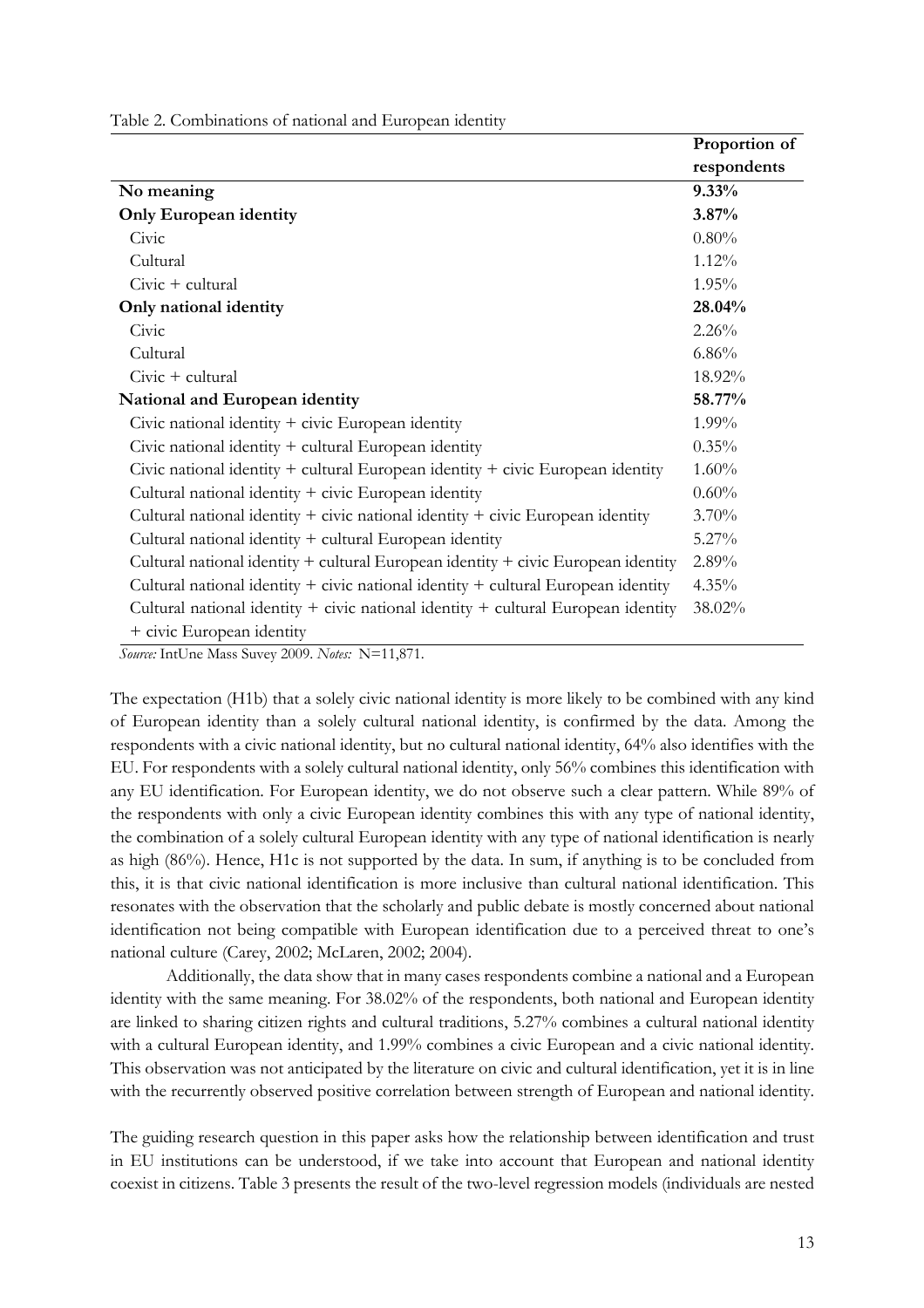Table 2. Combinations of national and European identity

|                                                                                       | Proportion of |
|---------------------------------------------------------------------------------------|---------------|
|                                                                                       | respondents   |
| No meaning                                                                            | 9.33%         |
| <b>Only European identity</b>                                                         | 3.87%         |
| Civic                                                                                 | 0.80%         |
| Cultural                                                                              | $1.12\%$      |
| $Civic + \text{cultural}$                                                             | $1.95\%$      |
| Only national identity                                                                | 28.04%        |
| Civic                                                                                 | 2.26%         |
| Cultural                                                                              | $6.86\%$      |
| $Civic + cultural$                                                                    | 18.92%        |
| National and European identity                                                        | 58.77%        |
| Civic national identity $+$ civic European identity                                   | 1.99%         |
| Civic national identity + cultural European identity                                  | 0.35%         |
| Civic national identity $+$ cultural European identity $+$ civic European identity    | 1.60%         |
| Cultural national identity + civic European identity                                  | 0.60%         |
| Cultural national identity $+$ civic national identity $+$ civic European identity    | 3.70%         |
| Cultural national identity + cultural European identity                               | 5.27%         |
| Cultural national identity $+$ cultural European identity $+$ civic European identity | 2.89%         |
| Cultural national identity $+$ civic national identity $+$ cultural European identity | $4.35\%$      |
| Cultural national identity $+$ civic national identity $+$ cultural European identity | 38.02%        |
| + civic European identity                                                             |               |

*Source:* IntUne Mass Suvey 2009. *Notes:* N=11,871.

The expectation (H1b) that a solely civic national identity is more likely to be combined with any kind of European identity than a solely cultural national identity, is confirmed by the data. Among the respondents with a civic national identity, but no cultural national identity, 64% also identifies with the EU. For respondents with a solely cultural national identity, only 56% combines this identification with any EU identification. For European identity, we do not observe such a clear pattern. While 89% of the respondents with only a civic European identity combines this with any type of national identity, the combination of a solely cultural European identity with any type of national identification is nearly as high (86%). Hence, H1c is not supported by the data. In sum, if anything is to be concluded from this, it is that civic national identification is more inclusive than cultural national identification. This resonates with the observation that the scholarly and public debate is mostly concerned about national identification not being compatible with European identification due to a perceived threat to one's national culture (Carey, 2002; McLaren, 2002; 2004).

Additionally, the data show that in many cases respondents combine a national and a European identity with the same meaning. For 38.02% of the respondents, both national and European identity are linked to sharing citizen rights and cultural traditions, 5.27% combines a cultural national identity with a cultural European identity, and 1.99% combines a civic European and a civic national identity. This observation was not anticipated by the literature on civic and cultural identification, yet it is in line with the recurrently observed positive correlation between strength of European and national identity.

The guiding research question in this paper asks how the relationship between identification and trust in EU institutions can be understood, if we take into account that European and national identity coexist in citizens. Table 3 presents the result of the two-level regression models (individuals are nested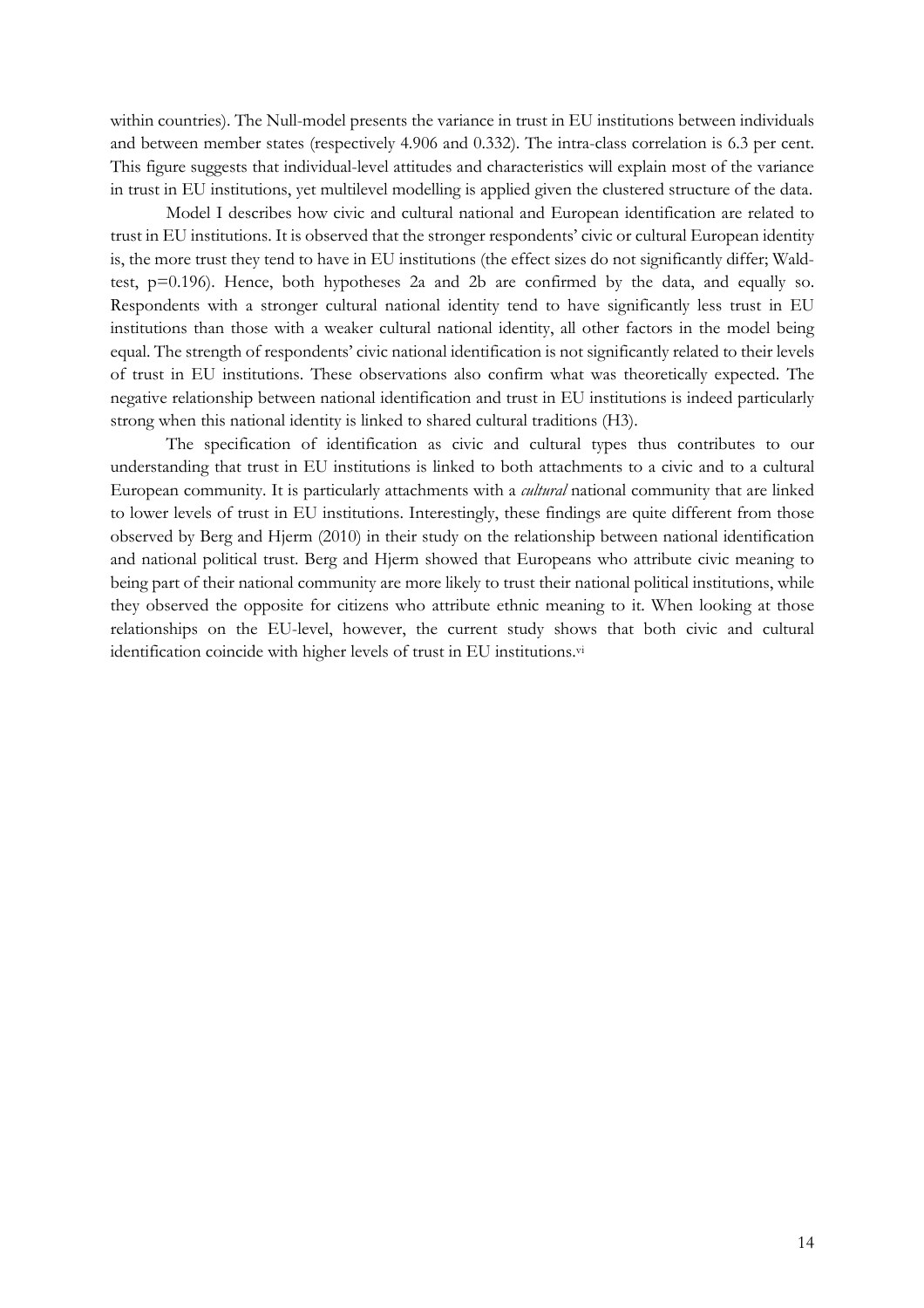within countries). The Null-model presents the variance in trust in EU institutions between individuals and between member states (respectively 4.906 and 0.332). The intra-class correlation is 6.3 per cent. This figure suggests that individual-level attitudes and characteristics will explain most of the variance in trust in EU institutions, yet multilevel modelling is applied given the clustered structure of the data.

Model I describes how civic and cultural national and European identification are related to trust in EU institutions. It is observed that the stronger respondents' civic or cultural European identity is, the more trust they tend to have in EU institutions (the effect sizes do not significantly differ; Waldtest, p=0.196). Hence, both hypotheses 2a and 2b are confirmed by the data, and equally so. Respondents with a stronger cultural national identity tend to have significantly less trust in EU institutions than those with a weaker cultural national identity, all other factors in the model being equal. The strength of respondents' civic national identification is not significantly related to their levels of trust in EU institutions. These observations also confirm what was theoretically expected. The negative relationship between national identification and trust in EU institutions is indeed particularly strong when this national identity is linked to shared cultural traditions (H3).

The specification of identification as civic and cultural types thus contributes to our understanding that trust in EU institutions is linked to both attachments to a civic and to a cultural European community. It is particularly attachments with a *cultural* national community that are linked to lower levels of trust in EU institutions. Interestingly, these findings are quite different from those observed by Berg and Hjerm (2010) in their study on the relationship between national identification and national political trust. Berg and Hjerm showed that Europeans who attribute civic meaning to being part of their national community are more likely to trust their national political institutions, while they observed the opposite for citizens who attribute ethnic meaning to it. When looking at those relationships on the EU-level, however, the current study shows that both civic and cultural identification coincide with higher levels of trust in EU institutions.vi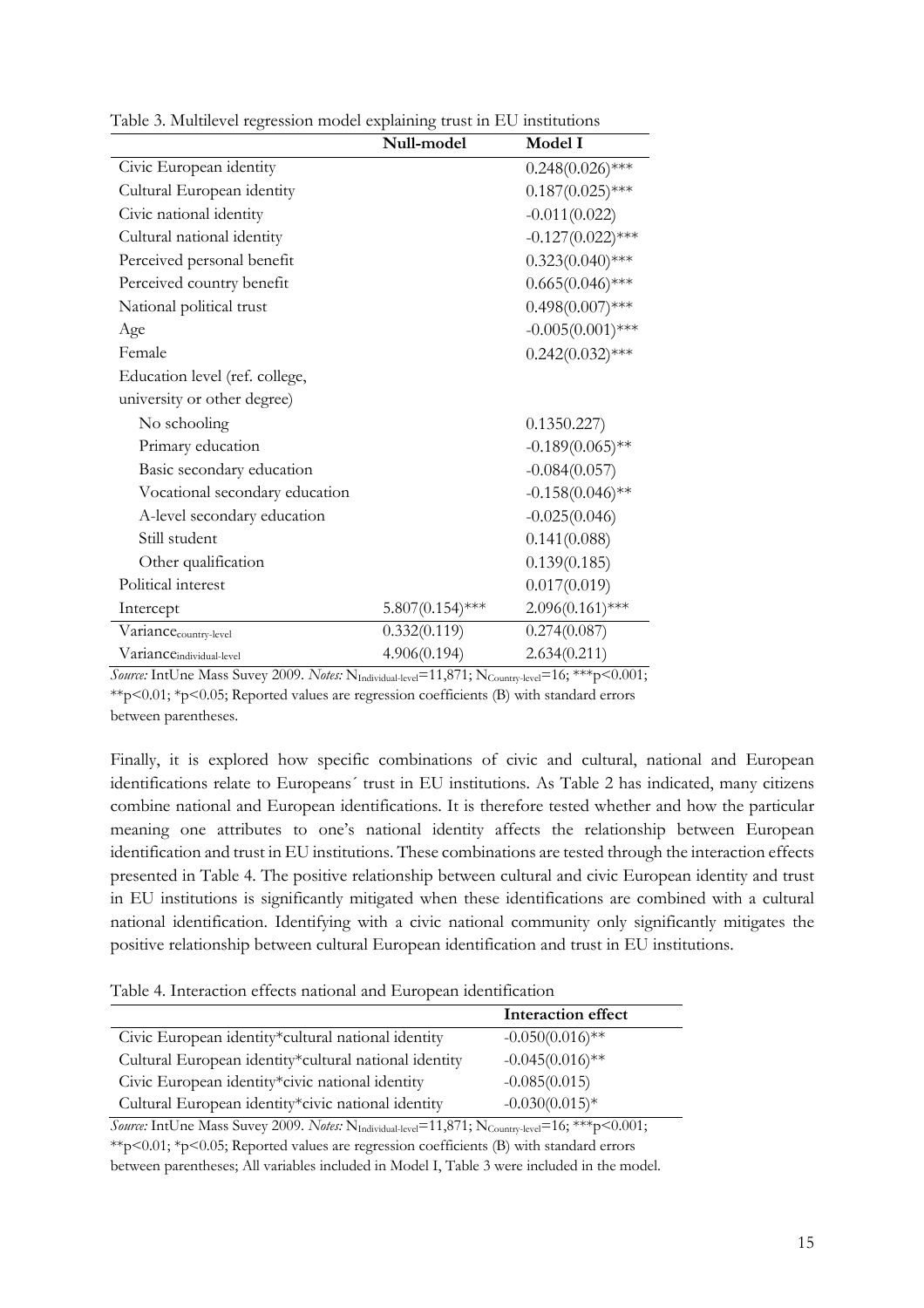| Null-model         | Model I             |
|--------------------|---------------------|
|                    | $0.248(0.026)$ ***  |
|                    | $0.187(0.025)$ ***  |
|                    | $-0.011(0.022)$     |
|                    | $-0.127(0.022)$ *** |
|                    | $0.323(0.040)$ ***  |
|                    | $0.665(0.046)$ ***  |
|                    | $0.498(0.007)$ ***  |
|                    | $-0.005(0.001)$ *** |
|                    | $0.242(0.032)$ ***  |
|                    |                     |
|                    |                     |
|                    | 0.1350.227)         |
|                    | $-0.189(0.065)$ **  |
|                    | $-0.084(0.057)$     |
|                    | $-0.158(0.046)$ **  |
|                    | $-0.025(0.046)$     |
|                    | 0.141(0.088)        |
|                    | 0.139(0.185)        |
|                    | 0.017(0.019)        |
| $5.807(0.154)$ *** | $2.096(0.161)$ ***  |
| 0.332(0.119)       | 0.274(0.087)        |
| 4.906(0.194)       | 2.634(0.211)        |
|                    |                     |

Table 3. Multilevel regression model explaining trust in EU institutions

*Source:* IntUne Mass Suvey 2009. *Notes:* N<sub>Individual-level</sub>=11,871; N<sub>Country-level</sub>=16; \*\*\*p<0.001; \*\*p<0.01; \*p<0.05; Reported values are regression coefficients (B) with standard errors between parentheses.

Finally, it is explored how specific combinations of civic and cultural, national and European identifications relate to Europeans´ trust in EU institutions. As Table 2 has indicated, many citizens combine national and European identifications. It is therefore tested whether and how the particular meaning one attributes to one's national identity affects the relationship between European identification and trust in EU institutions. These combinations are tested through the interaction effects presented in Table 4. The positive relationship between cultural and civic European identity and trust in EU institutions is significantly mitigated when these identifications are combined with a cultural national identification. Identifying with a civic national community only significantly mitigates the positive relationship between cultural European identification and trust in EU institutions.

Table 4. Interaction effects national and European identification

|                                                       | Interaction effect |
|-------------------------------------------------------|--------------------|
| Civic European identity*cultural national identity    | $-0.050(0.016)$ ** |
| Cultural European identity*cultural national identity | $-0.045(0.016)$ ** |
| Civic European identity*civic national identity       | $-0.085(0.015)$    |
| Cultural European identity*civic national identity    | $-0.030(0.015)*$   |

Source: IntUne Mass Suvey 2009. *Notes:* N<sub>Individual-level</sub>=11,871; N<sub>Country-level</sub>=16; \*\*\*p<0.001;  $*p<0.01$ ;  $*p<0.05$ ; Reported values are regression coefficients (B) with standard errors

between parentheses; All variables included in Model I, Table 3 were included in the model.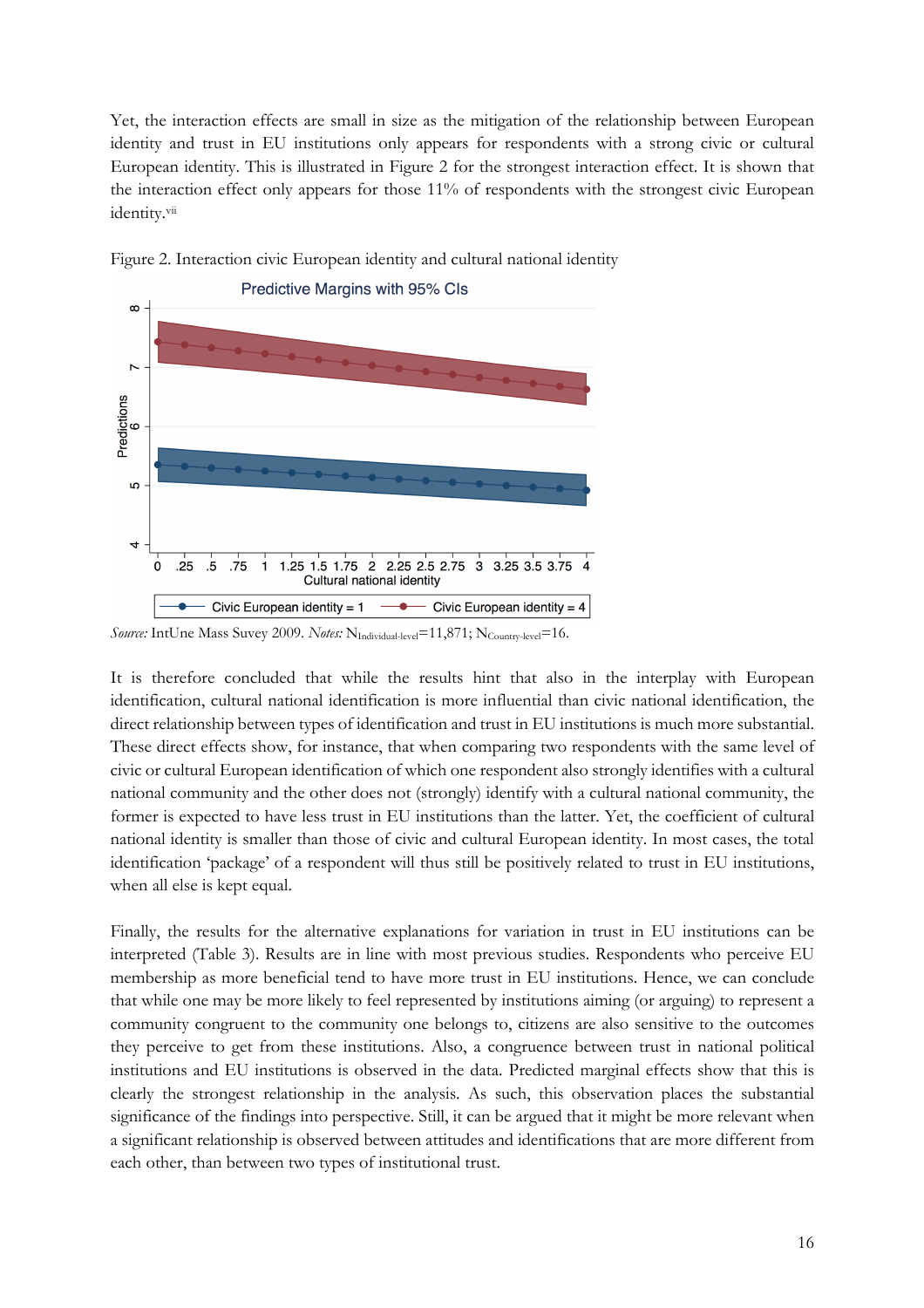Yet, the interaction effects are small in size as the mitigation of the relationship between European identity and trust in EU institutions only appears for respondents with a strong civic or cultural European identity. This is illustrated in Figure 2 for the strongest interaction effect. It is shown that the interaction effect only appears for those 11% of respondents with the strongest civic European identity.vii





It is therefore concluded that while the results hint that also in the interplay with European identification, cultural national identification is more influential than civic national identification, the direct relationship between types of identification and trust in EU institutions is much more substantial. These direct effects show, for instance, that when comparing two respondents with the same level of civic or cultural European identification of which one respondent also strongly identifies with a cultural national community and the other does not (strongly) identify with a cultural national community, the former is expected to have less trust in EU institutions than the latter. Yet, the coefficient of cultural national identity is smaller than those of civic and cultural European identity. In most cases, the total identification 'package' of a respondent will thus still be positively related to trust in EU institutions, when all else is kept equal.

Finally, the results for the alternative explanations for variation in trust in EU institutions can be interpreted (Table 3). Results are in line with most previous studies. Respondents who perceive EU membership as more beneficial tend to have more trust in EU institutions. Hence, we can conclude that while one may be more likely to feel represented by institutions aiming (or arguing) to represent a community congruent to the community one belongs to, citizens are also sensitive to the outcomes they perceive to get from these institutions. Also, a congruence between trust in national political institutions and EU institutions is observed in the data. Predicted marginal effects show that this is clearly the strongest relationship in the analysis. As such, this observation places the substantial significance of the findings into perspective. Still, it can be argued that it might be more relevant when a significant relationship is observed between attitudes and identifications that are more different from each other, than between two types of institutional trust.

*Source:* IntUne Mass Suvey 2009. *Notes:* N<sub>Individual-level</sub>=11,871; N<sub>Country-level</sub>=16.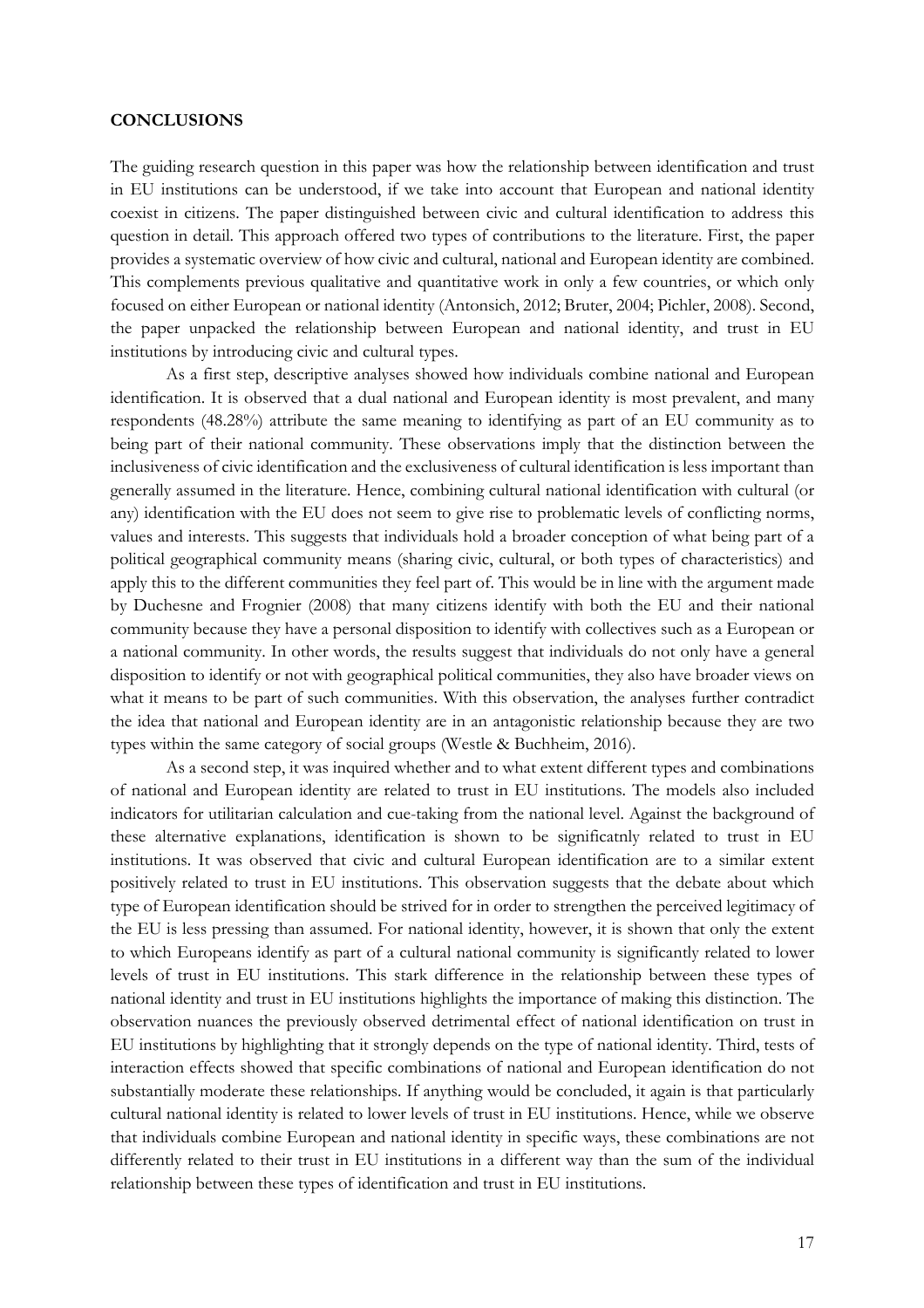#### **CONCLUSIONS**

The guiding research question in this paper was how the relationship between identification and trust in EU institutions can be understood, if we take into account that European and national identity coexist in citizens. The paper distinguished between civic and cultural identification to address this question in detail. This approach offered two types of contributions to the literature. First, the paper provides a systematic overview of how civic and cultural, national and European identity are combined. This complements previous qualitative and quantitative work in only a few countries, or which only focused on either European or national identity (Antonsich, 2012; Bruter, 2004; Pichler, 2008). Second, the paper unpacked the relationship between European and national identity, and trust in EU institutions by introducing civic and cultural types.

As a first step, descriptive analyses showed how individuals combine national and European identification. It is observed that a dual national and European identity is most prevalent, and many respondents (48.28%) attribute the same meaning to identifying as part of an EU community as to being part of their national community. These observations imply that the distinction between the inclusiveness of civic identification and the exclusiveness of cultural identification is less important than generally assumed in the literature. Hence, combining cultural national identification with cultural (or any) identification with the EU does not seem to give rise to problematic levels of conflicting norms, values and interests. This suggests that individuals hold a broader conception of what being part of a political geographical community means (sharing civic, cultural, or both types of characteristics) and apply this to the different communities they feel part of. This would be in line with the argument made by Duchesne and Frognier (2008) that many citizens identify with both the EU and their national community because they have a personal disposition to identify with collectives such as a European or a national community. In other words, the results suggest that individuals do not only have a general disposition to identify or not with geographical political communities, they also have broader views on what it means to be part of such communities. With this observation, the analyses further contradict the idea that national and European identity are in an antagonistic relationship because they are two types within the same category of social groups (Westle & Buchheim, 2016).

As a second step, it was inquired whether and to what extent different types and combinations of national and European identity are related to trust in EU institutions. The models also included indicators for utilitarian calculation and cue-taking from the national level. Against the background of these alternative explanations, identification is shown to be significatnly related to trust in EU institutions. It was observed that civic and cultural European identification are to a similar extent positively related to trust in EU institutions. This observation suggests that the debate about which type of European identification should be strived for in order to strengthen the perceived legitimacy of the EU is less pressing than assumed. For national identity, however, it is shown that only the extent to which Europeans identify as part of a cultural national community is significantly related to lower levels of trust in EU institutions. This stark difference in the relationship between these types of national identity and trust in EU institutions highlights the importance of making this distinction. The observation nuances the previously observed detrimental effect of national identification on trust in EU institutions by highlighting that it strongly depends on the type of national identity. Third, tests of interaction effects showed that specific combinations of national and European identification do not substantially moderate these relationships. If anything would be concluded, it again is that particularly cultural national identity is related to lower levels of trust in EU institutions. Hence, while we observe that individuals combine European and national identity in specific ways, these combinations are not differently related to their trust in EU institutions in a different way than the sum of the individual relationship between these types of identification and trust in EU institutions.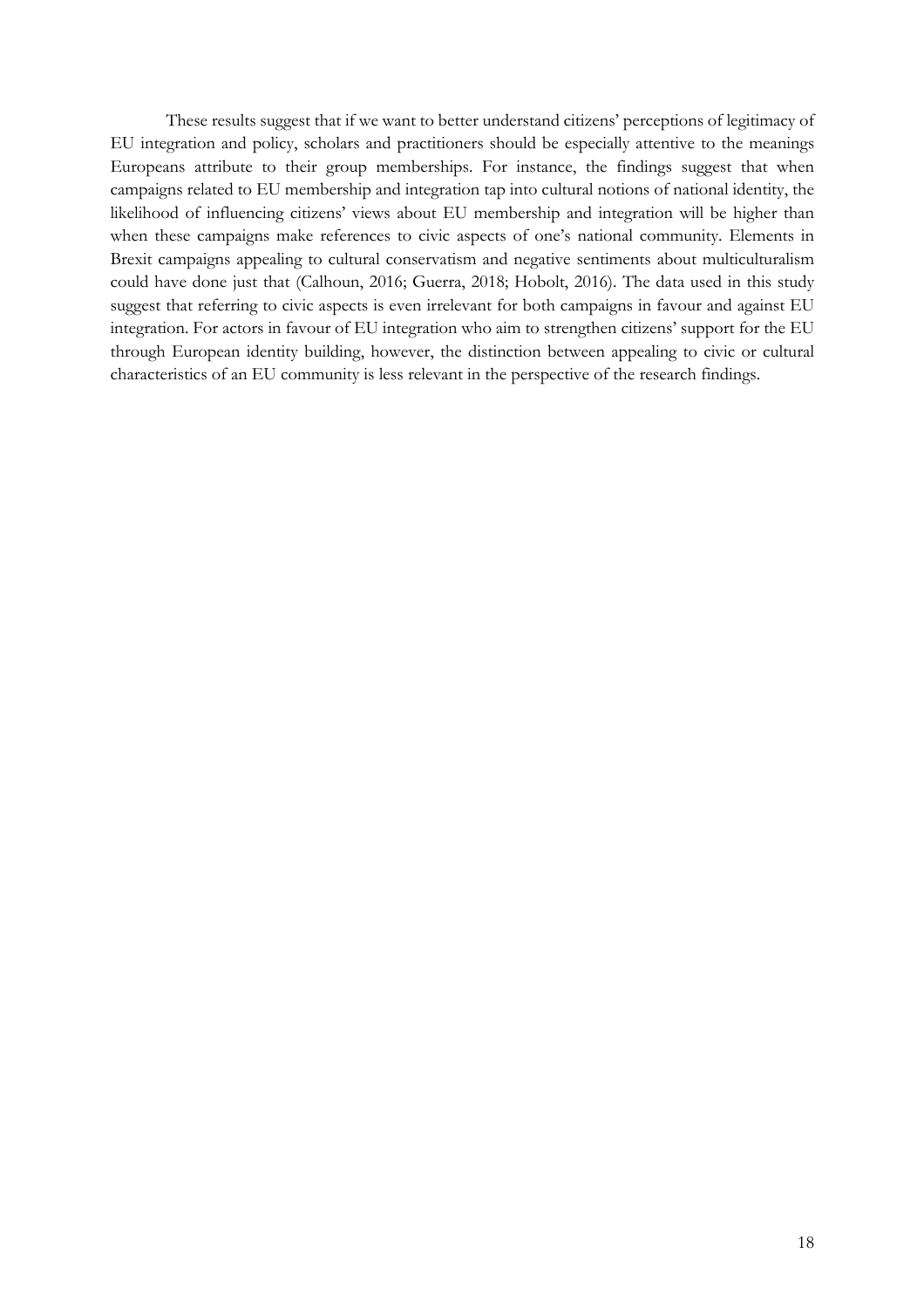These results suggest that if we want to better understand citizens' perceptions of legitimacy of EU integration and policy, scholars and practitioners should be especially attentive to the meanings Europeans attribute to their group memberships. For instance, the findings suggest that when campaigns related to EU membership and integration tap into cultural notions of national identity, the likelihood of influencing citizens' views about EU membership and integration will be higher than when these campaigns make references to civic aspects of one's national community. Elements in Brexit campaigns appealing to cultural conservatism and negative sentiments about multiculturalism could have done just that (Calhoun, 2016; Guerra, 2018; Hobolt, 2016). The data used in this study suggest that referring to civic aspects is even irrelevant for both campaigns in favour and against EU integration. For actors in favour of EU integration who aim to strengthen citizens' support for the EU through European identity building, however, the distinction between appealing to civic or cultural characteristics of an EU community is less relevant in the perspective of the research findings.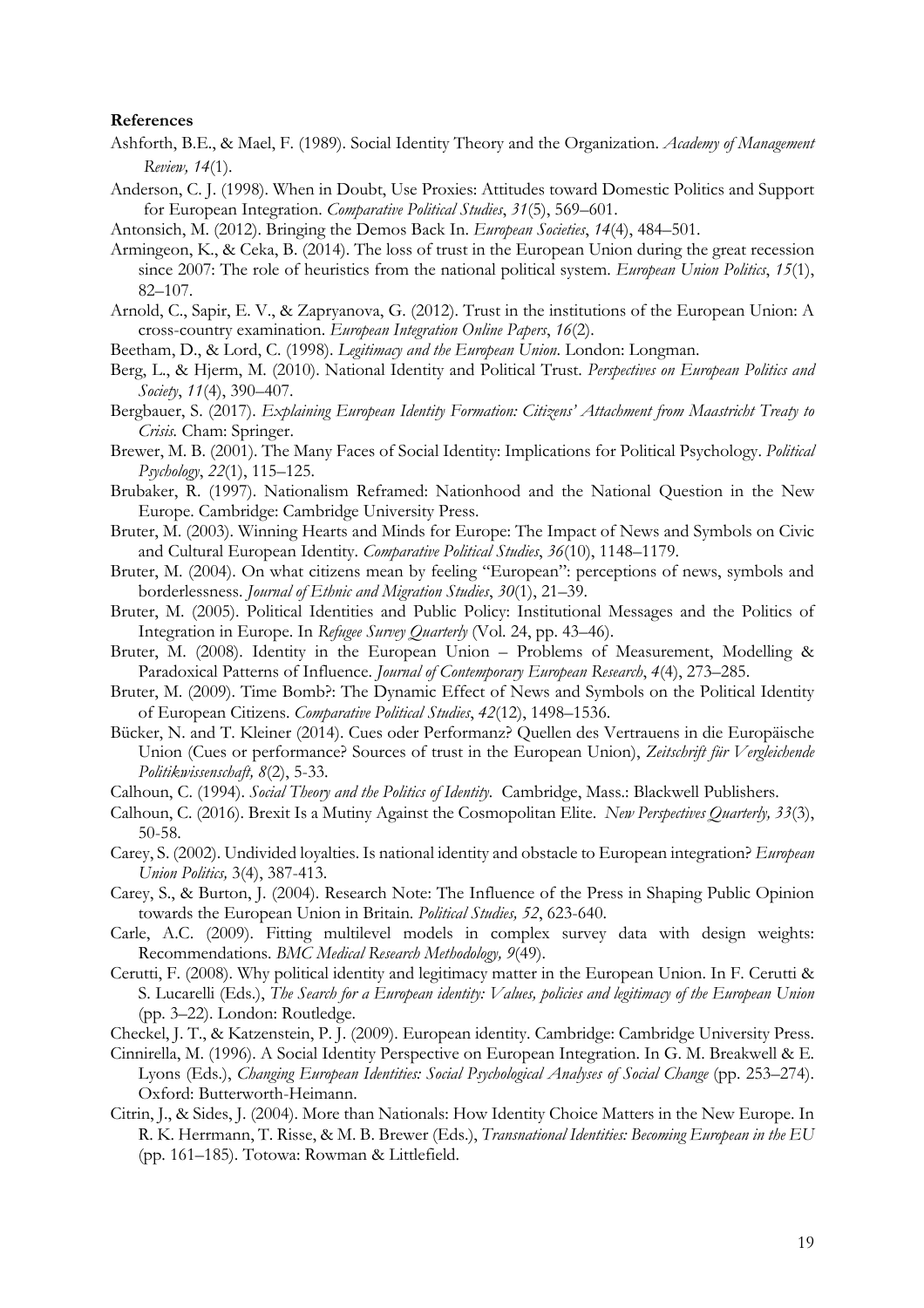#### **References**

- Ashforth, B.E., & Mael, F. (1989). Social Identity Theory and the Organization. *Academy of Management Review, 14*(1).
- Anderson, C. J. (1998). When in Doubt, Use Proxies: Attitudes toward Domestic Politics and Support for European Integration. *Comparative Political Studies*, *31*(5), 569–601.
- Antonsich, M. (2012). Bringing the Demos Back In. *European Societies*, *14*(4), 484–501.
- Armingeon, K., & Ceka, B. (2014). The loss of trust in the European Union during the great recession since 2007: The role of heuristics from the national political system. *European Union Politics*, *15*(1), 82–107.
- Arnold, C., Sapir, E. V., & Zapryanova, G. (2012). Trust in the institutions of the European Union: A cross-country examination. *European Integration Online Papers*, *16*(2).
- Beetham, D., & Lord, C. (1998). *Legitimacy and the European Union*. London: Longman.
- Berg, L., & Hjerm, M. (2010). National Identity and Political Trust. *Perspectives on European Politics and Society*, *11*(4), 390–407.
- Bergbauer, S. (2017). *Explaining European Identity Formation: Citizens' Attachment from Maastricht Treaty to Crisis.* Cham: Springer.
- Brewer, M. B. (2001). The Many Faces of Social Identity: Implications for Political Psychology. *Political Psychology*, *22*(1), 115–125.
- Brubaker, R. (1997). Nationalism Reframed: Nationhood and the National Question in the New Europe. Cambridge: Cambridge University Press.
- Bruter, M. (2003). Winning Hearts and Minds for Europe: The Impact of News and Symbols on Civic and Cultural European Identity. *Comparative Political Studies*, *36*(10), 1148–1179.
- Bruter, M. (2004). On what citizens mean by feeling "European": perceptions of news, symbols and borderlessness. *Journal of Ethnic and Migration Studies*, *30*(1), 21–39.
- Bruter, M. (2005). Political Identities and Public Policy: Institutional Messages and the Politics of Integration in Europe. In *Refugee Survey Quarterly* (Vol. 24, pp. 43–46).
- Bruter, M. (2008). Identity in the European Union Problems of Measurement, Modelling & Paradoxical Patterns of Influence. *Journal of Contemporary European Research*, *4*(4), 273–285.
- Bruter, M. (2009). Time Bomb?: The Dynamic Effect of News and Symbols on the Political Identity of European Citizens. *Comparative Political Studies*, *42*(12), 1498–1536.
- Bücker, N. and T. Kleiner (2014). Cues oder Performanz? Quellen des Vertrauens in die Europäische Union (Cues or performance? Sources of trust in the European Union), *Zeitschrift für Vergleichende Politikwissenschaft, 8*(2), 5-33.
- Calhoun, C. (1994). *Social Theory and the Politics of Identity.* Cambridge, Mass.: Blackwell Publishers.
- Calhoun, C. (2016). Brexit Is a Mutiny Against the Cosmopolitan Elite. *New Perspectives Quarterly, 33*(3), 50-58.
- Carey, S. (2002). Undivided loyalties. Is national identity and obstacle to European integration? *European Union Politics,* 3(4), 387-413.
- Carey, S., & Burton, J. (2004). Research Note: The Influence of the Press in Shaping Public Opinion towards the European Union in Britain. *Political Studies, 52*, 623-640.
- Carle, A.C. (2009). Fitting multilevel models in complex survey data with design weights: Recommendations. *BMC Medical Research Methodology, 9*(49).
- Cerutti, F. (2008). Why political identity and legitimacy matter in the European Union. In F. Cerutti & S. Lucarelli (Eds.), *The Search for a European identity: Values, policies and legitimacy of the European Union* (pp. 3–22). London: Routledge.
- Checkel, J. T., & Katzenstein, P. J. (2009). European identity. Cambridge: Cambridge University Press.
- Cinnirella, M. (1996). A Social Identity Perspective on European Integration. In G. M. Breakwell & E. Lyons (Eds.), *Changing European Identities: Social Psychological Analyses of Social Change* (pp. 253–274). Oxford: Butterworth-Heimann.
- Citrin, J., & Sides, J. (2004). More than Nationals: How Identity Choice Matters in the New Europe. In R. K. Herrmann, T. Risse, & M. B. Brewer (Eds.), *Transnational Identities: Becoming European in the EU* (pp. 161–185). Totowa: Rowman & Littlefield.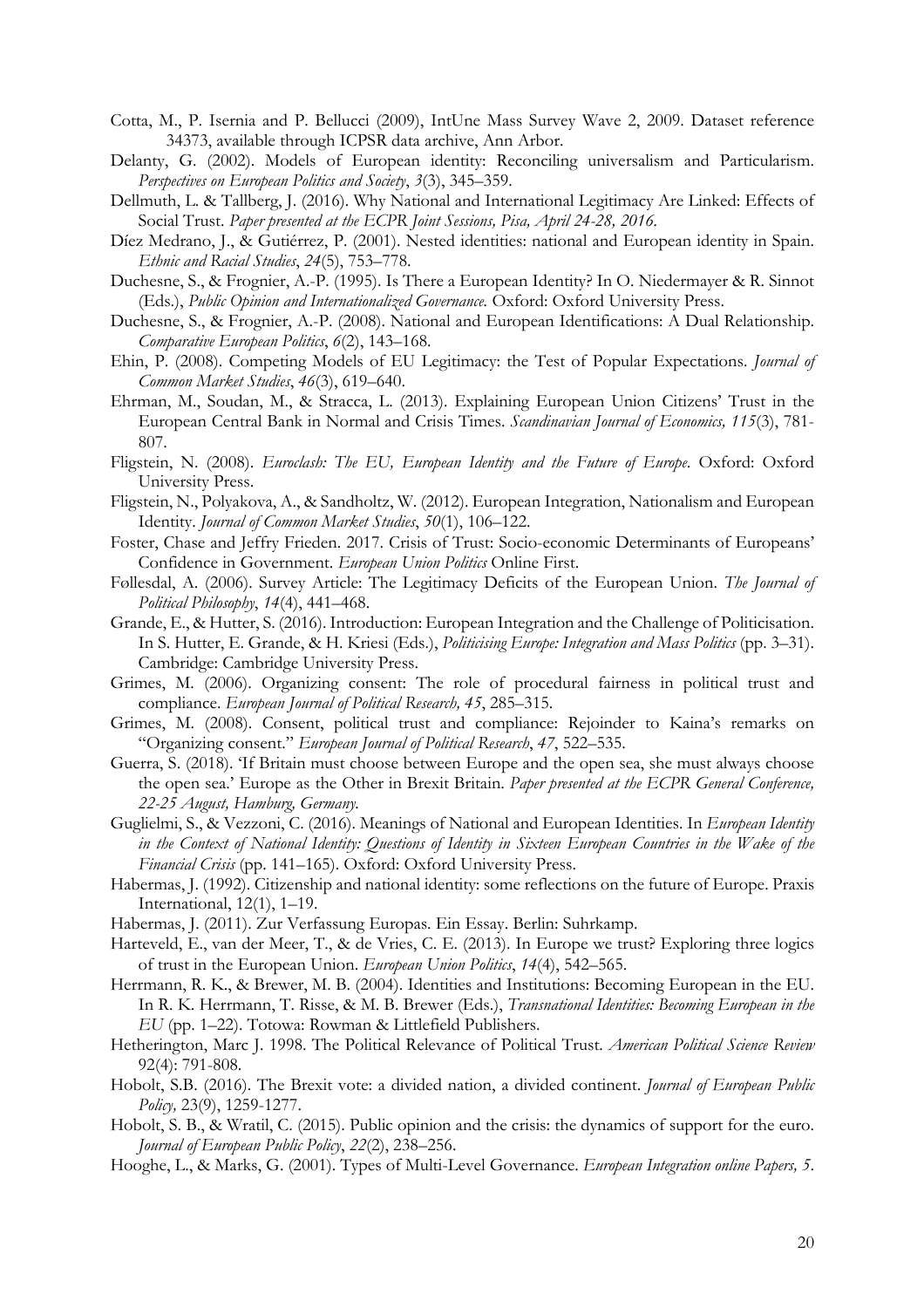- Cotta, M., P. Isernia and P. Bellucci (2009), IntUne Mass Survey Wave 2, 2009. Dataset reference 34373, available through ICPSR data archive, Ann Arbor.
- Delanty, G. (2002). Models of European identity: Reconciling universalism and Particularism. *Perspectives on European Politics and Society*, *3*(3), 345–359.
- Dellmuth, L. & Tallberg, J. (2016). Why National and International Legitimacy Are Linked: Effects of Social Trust. *Paper presented at the ECPR Joint Sessions, Pisa, April 24-28, 2016.*
- Díez Medrano, J., & Gutiérrez, P. (2001). Nested identities: national and European identity in Spain. *Ethnic and Racial Studies*, *24*(5), 753–778.
- Duchesne, S., & Frognier, A.-P. (1995). Is There a European Identity? In O. Niedermayer & R. Sinnot (Eds.), *Public Opinion and Internationalized Governance.* Oxford: Oxford University Press.
- Duchesne, S., & Frognier, A.-P. (2008). National and European Identifications: A Dual Relationship. *Comparative European Politics*, *6*(2), 143–168.
- Ehin, P. (2008). Competing Models of EU Legitimacy: the Test of Popular Expectations. *Journal of Common Market Studies*, *46*(3), 619–640.
- Ehrman, M., Soudan, M., & Stracca, L. (2013). Explaining European Union Citizens' Trust in the European Central Bank in Normal and Crisis Times. *Scandinavian Journal of Economics, 115*(3), 781- 807.
- Fligstein, N. (2008). *Euroclash: The EU, European Identity and the Future of Europe*. Oxford: Oxford University Press.
- Fligstein, N., Polyakova, A., & Sandholtz, W. (2012). European Integration, Nationalism and European Identity. *Journal of Common Market Studies*, *50*(1), 106–122.
- Foster, Chase and Jeffry Frieden. 2017. Crisis of Trust: Socio-economic Determinants of Europeans' Confidence in Government. *European Union Politics* Online First.
- Føllesdal, A. (2006). Survey Article: The Legitimacy Deficits of the European Union. *The Journal of Political Philosophy*, *14*(4), 441–468.
- Grande, E., & Hutter, S. (2016). Introduction: European Integration and the Challenge of Politicisation. In S. Hutter, E. Grande, & H. Kriesi (Eds.), *Politicising Europe: Integration and Mass Politics* (pp. 3–31). Cambridge: Cambridge University Press.
- Grimes, M. (2006). Organizing consent: The role of procedural fairness in political trust and compliance. *European Journal of Political Research, 45*, 285–315.
- Grimes, M. (2008). Consent, political trust and compliance: Rejoinder to Kaina's remarks on "Organizing consent." *European Journal of Political Research*, *47*, 522–535.
- Guerra, S. (2018). 'If Britain must choose between Europe and the open sea, she must always choose the open sea.' Europe as the Other in Brexit Britain. *Paper presented at the ECPR General Conference, 22-25 August, Hamburg, Germany.*
- Guglielmi, S., & Vezzoni, C. (2016). Meanings of National and European Identities. In *European Identity in the Context of National Identity: Questions of Identity in Sixteen European Countries in the Wake of the Financial Crisis* (pp. 141–165). Oxford: Oxford University Press.
- Habermas, J. (1992). Citizenship and national identity: some reflections on the future of Europe. Praxis International, 12(1), 1–19.
- Habermas, J. (2011). Zur Verfassung Europas. Ein Essay. Berlin: Suhrkamp.
- Harteveld, E., van der Meer, T., & de Vries, C. E. (2013). In Europe we trust? Exploring three logics of trust in the European Union. *European Union Politics*, *14*(4), 542–565.
- Herrmann, R. K., & Brewer, M. B. (2004). Identities and Institutions: Becoming European in the EU. In R. K. Herrmann, T. Risse, & M. B. Brewer (Eds.), *Transnational Identities: Becoming European in the EU* (pp. 1–22). Totowa: Rowman & Littlefield Publishers.
- Hetherington, Marc J. 1998. The Political Relevance of Political Trust. *American Political Science Review* 92(4): 791-808.
- Hobolt, S.B. (2016). The Brexit vote: a divided nation, a divided continent. *Journal of European Public Policy,* 23(9), 1259-1277.
- Hobolt, S. B., & Wratil, C. (2015). Public opinion and the crisis: the dynamics of support for the euro. *Journal of European Public Policy*, *22*(2), 238–256.
- Hooghe, L., & Marks, G. (2001). Types of Multi-Level Governance. *European Integration online Papers, 5*.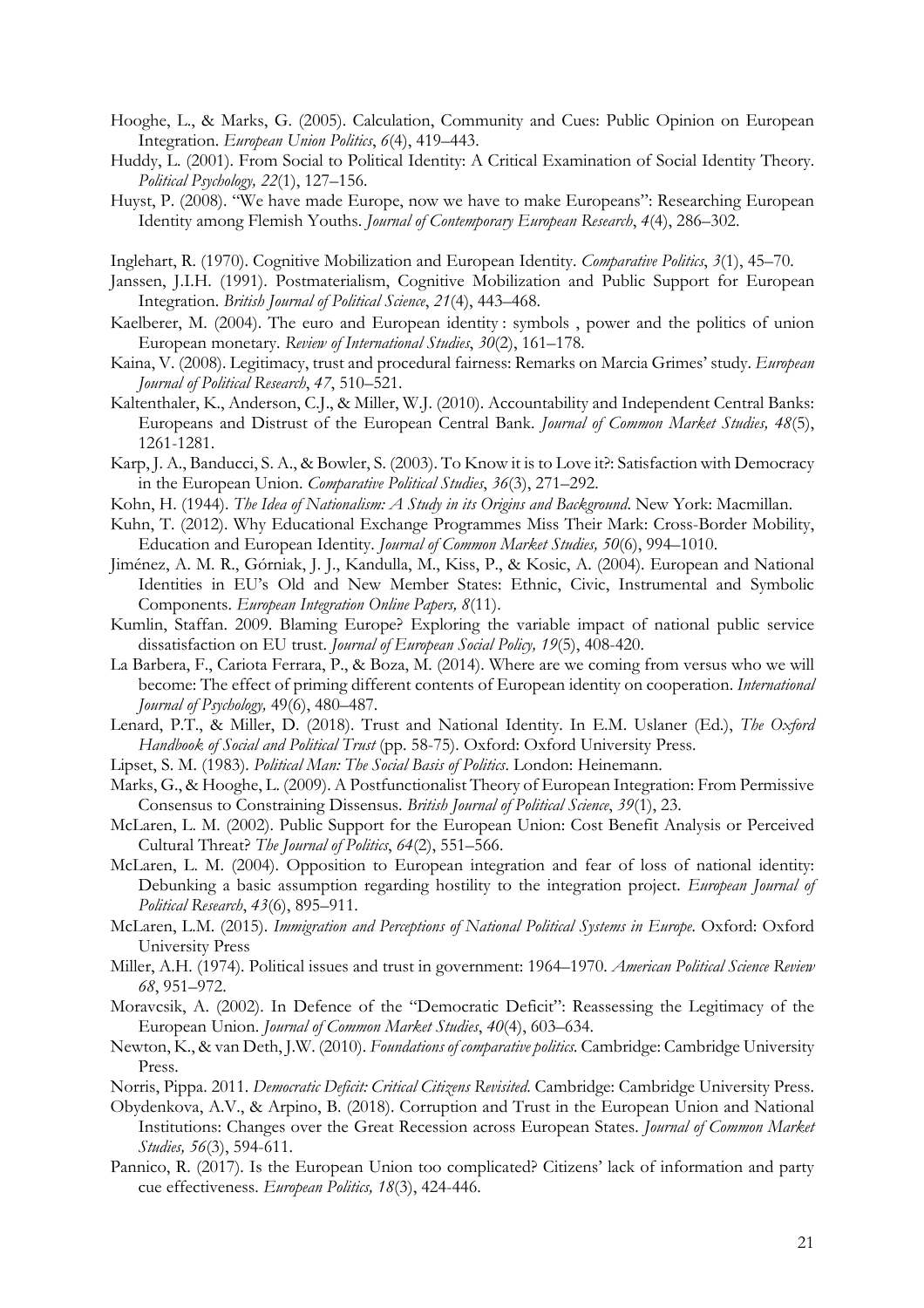- Hooghe, L., & Marks, G. (2005). Calculation, Community and Cues: Public Opinion on European Integration. *European Union Politics*, *6*(4), 419–443.
- Huddy, L. (2001). From Social to Political Identity: A Critical Examination of Social Identity Theory. *Political Psychology, 22*(1), 127–156.
- Huyst, P. (2008). "We have made Europe, now we have to make Europeans": Researching European Identity among Flemish Youths. *Journal of Contemporary European Research*, *4*(4), 286–302.
- Inglehart, R. (1970). Cognitive Mobilization and European Identity. *Comparative Politics*, *3*(1), 45–70.
- Janssen, J.I.H. (1991). Postmaterialism, Cognitive Mobilization and Public Support for European Integration. *British Journal of Political Science*, *21*(4), 443–468.
- Kaelberer, M. (2004). The euro and European identity : symbols , power and the politics of union European monetary. *Review of International Studies*, *30*(2), 161–178.
- Kaina, V. (2008). Legitimacy, trust and procedural fairness: Remarks on Marcia Grimes' study. *European Journal of Political Research*, *47*, 510–521.
- Kaltenthaler, K., Anderson, C.J., & Miller, W.J. (2010). Accountability and Independent Central Banks: Europeans and Distrust of the European Central Bank. *Journal of Common Market Studies, 48*(5), 1261-1281.
- Karp, J. A., Banducci, S. A., & Bowler, S. (2003). To Know it is to Love it?: Satisfaction with Democracy in the European Union. *Comparative Political Studies*, *36*(3), 271–292.
- Kohn, H. (1944). *The Idea of Nationalism: A Study in its Origins and Background*. New York: Macmillan.
- Kuhn, T. (2012). Why Educational Exchange Programmes Miss Their Mark: Cross-Border Mobility, Education and European Identity. *Journal of Common Market Studies, 50*(6), 994–1010.
- Jiménez, A. M. R., Górniak, J. J., Kandulla, M., Kiss, P., & Kosic, A. (2004). European and National Identities in EU's Old and New Member States: Ethnic, Civic, Instrumental and Symbolic Components. *European Integration Online Papers, 8*(11).
- Kumlin, Staffan. 2009. Blaming Europe? Exploring the variable impact of national public service dissatisfaction on EU trust. *Journal of European Social Policy, 19*(5), 408-420.
- La Barbera, F., Cariota Ferrara, P., & Boza, M. (2014). Where are we coming from versus who we will become: The effect of priming different contents of European identity on cooperation. *International Journal of Psychology,* 49(6), 480–487.
- Lenard, P.T., & Miller, D. (2018). Trust and National Identity. In E.M. Uslaner (Ed.), *The Oxford Handbook of Social and Political Trust* (pp. 58-75). Oxford: Oxford University Press.
- Lipset, S. M. (1983). *Political Man: The Social Basis of Politics*. London: Heinemann.
- Marks, G., & Hooghe, L. (2009). A Postfunctionalist Theory of European Integration: From Permissive Consensus to Constraining Dissensus. *British Journal of Political Science*, *39*(1), 23.
- McLaren, L. M. (2002). Public Support for the European Union: Cost Benefit Analysis or Perceived Cultural Threat? *The Journal of Politics*, *64*(2), 551–566.
- McLaren, L. M. (2004). Opposition to European integration and fear of loss of national identity: Debunking a basic assumption regarding hostility to the integration project. *European Journal of Political Research*, *43*(6), 895–911.
- McLaren, L.M. (2015). *Immigration and Perceptions of National Political Systems in Europe.* Oxford: Oxford University Press
- Miller, A.H. (1974). Political issues and trust in government: 1964–1970. *American Political Science Review 68*, 951–972.
- Moravcsik, A. (2002). In Defence of the "Democratic Deficit": Reassessing the Legitimacy of the European Union. *Journal of Common Market Studies*, *40*(4), 603–634.
- Newton, K., & van Deth, J.W. (2010). *Foundations of comparative politics.* Cambridge: Cambridge University Press.
- Norris, Pippa. 2011. *Democratic Deficit: Critical Citizens Revisited*. Cambridge: Cambridge University Press.
- Obydenkova, A.V., & Arpino, B. (2018). Corruption and Trust in the European Union and National Institutions: Changes over the Great Recession across European States. *Journal of Common Market Studies, 56*(3), 594-611.
- Pannico, R. (2017). Is the European Union too complicated? Citizens' lack of information and party cue effectiveness. *European Politics, 18*(3), 424-446.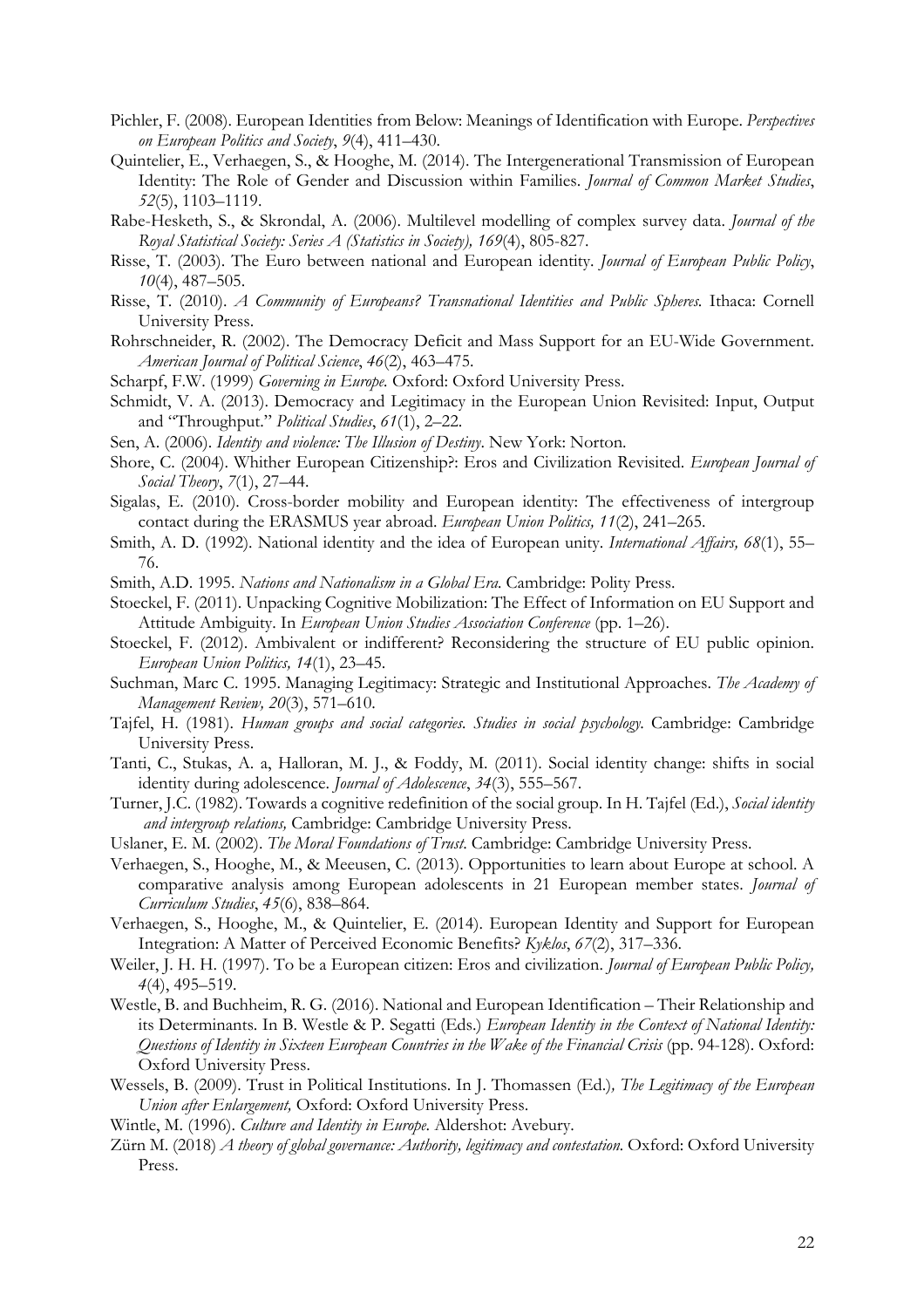- Pichler, F. (2008). European Identities from Below: Meanings of Identification with Europe. *Perspectives on European Politics and Society*, *9*(4), 411–430.
- Quintelier, E., Verhaegen, S., & Hooghe, M. (2014). The Intergenerational Transmission of European Identity: The Role of Gender and Discussion within Families. *Journal of Common Market Studies*, *52*(5), 1103–1119.
- Rabe-Hesketh, S., & Skrondal, A. (2006). Multilevel modelling of complex survey data. *Journal of the Royal Statistical Society: Series A (Statistics in Society), 169*(4), 805-827.
- Risse, T. (2003). The Euro between national and European identity. *Journal of European Public Policy*, *10*(4), 487–505.
- Risse, T. (2010). *A Community of Europeans? Transnational Identities and Public Spheres*. Ithaca: Cornell University Press.
- Rohrschneider, R. (2002). The Democracy Deficit and Mass Support for an EU-Wide Government. *American Journal of Political Science*, *46*(2), 463–475.
- Scharpf, F.W. (1999) *Governing in Europe.* Oxford: Oxford University Press.
- Schmidt, V. A. (2013). Democracy and Legitimacy in the European Union Revisited: Input, Output and "Throughput." *Political Studies*, *61*(1), 2–22.
- Sen, A. (2006). *Identity and violence: The Illusion of Destiny*. New York: Norton.
- Shore, C. (2004). Whither European Citizenship?: Eros and Civilization Revisited. *European Journal of Social Theory*, *7*(1), 27–44.
- Sigalas, E. (2010). Cross-border mobility and European identity: The effectiveness of intergroup contact during the ERASMUS year abroad. *European Union Politics, 11*(2), 241–265.
- Smith, A. D. (1992). National identity and the idea of European unity. *International Affairs, 68*(1), 55– 76.
- Smith, A.D. 1995. *Nations and Nationalism in a Global Era.* Cambridge: Polity Press.
- Stoeckel, F. (2011). Unpacking Cognitive Mobilization: The Effect of Information on EU Support and Attitude Ambiguity. In *European Union Studies Association Conference* (pp. 1–26).
- Stoeckel, F. (2012). Ambivalent or indifferent? Reconsidering the structure of EU public opinion. *European Union Politics, 14*(1), 23–45.
- Suchman, Marc C. 1995. Managing Legitimacy: Strategic and Institutional Approaches. *The Academy of Management Review, 20*(3), 571–610.
- Tajfel, H. (1981). *Human groups and social categories. Studies in social psychology*. Cambridge: Cambridge University Press.
- Tanti, C., Stukas, A. a, Halloran, M. J., & Foddy, M. (2011). Social identity change: shifts in social identity during adolescence. *Journal of Adolescence*, *34*(3), 555–567.
- Turner, J.C. (1982). Towards a cognitive redefinition of the social group. In H. Tajfel (Ed.), *Social identity and intergroup relations,* Cambridge: Cambridge University Press.
- Uslaner, E. M. (2002). *The Moral Foundations of Trust*. Cambridge: Cambridge University Press.
- Verhaegen, S., Hooghe, M., & Meeusen, C. (2013). Opportunities to learn about Europe at school. A comparative analysis among European adolescents in 21 European member states. *Journal of Curriculum Studies*, *45*(6), 838–864.
- Verhaegen, S., Hooghe, M., & Quintelier, E. (2014). European Identity and Support for European Integration: A Matter of Perceived Economic Benefits? *Kyklos*, *67*(2), 317–336.
- Weiler, J. H. H. (1997). To be a European citizen: Eros and civilization. *Journal of European Public Policy, 4*(4), 495–519.
- Westle, B. and Buchheim, R. G. (2016). National and European Identification Their Relationship and its Determinants. In B. Westle & P. Segatti (Eds.) *European Identity in the Context of National Identity: Questions of Identity in Sixteen European Countries in the Wake of the Financial Crisis* (pp. 94-128). Oxford: Oxford University Press.
- Wessels, B. (2009). Trust in Political Institutions. In J. Thomassen (Ed.)*, The Legitimacy of the European Union after Enlargement,* Oxford: Oxford University Press.
- Wintle, M. (1996). *Culture and Identity in Europe*. Aldershot: Avebury.
- Zürn M. (2018) *A theory of global governance: Authority, legitimacy and contestation.* Oxford: Oxford University Press.